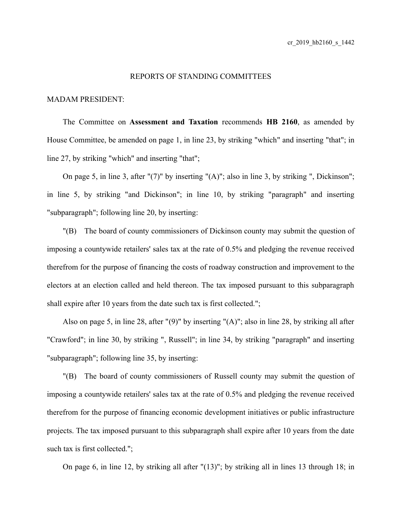## REPORTS OF STANDING COMMITTEES

## MADAM PRESIDENT:

The Committee on **Assessment and Taxation** recommends **HB 2160**, as amended by House Committee, be amended on page 1, in line 23, by striking "which" and inserting "that"; in line 27, by striking "which" and inserting "that";

On page 5, in line 3, after "(7)" by inserting "(A)"; also in line 3, by striking ", Dickinson"; in line 5, by striking "and Dickinson"; in line 10, by striking "paragraph" and inserting "subparagraph"; following line 20, by inserting:

"(B) The board of county commissioners of Dickinson county may submit the question of imposing a countywide retailers' sales tax at the rate of 0.5% and pledging the revenue received therefrom for the purpose of financing the costs of roadway construction and improvement to the electors at an election called and held thereon. The tax imposed pursuant to this subparagraph shall expire after 10 years from the date such tax is first collected.";

Also on page 5, in line 28, after "(9)" by inserting "(A)"; also in line 28, by striking all after "Crawford"; in line 30, by striking ", Russell"; in line 34, by striking "paragraph" and inserting "subparagraph"; following line 35, by inserting:

"(B) The board of county commissioners of Russell county may submit the question of imposing a countywide retailers' sales tax at the rate of 0.5% and pledging the revenue received therefrom for the purpose of financing economic development initiatives or public infrastructure projects. The tax imposed pursuant to this subparagraph shall expire after 10 years from the date such tax is first collected.";

On page 6, in line 12, by striking all after "(13)"; by striking all in lines 13 through 18; in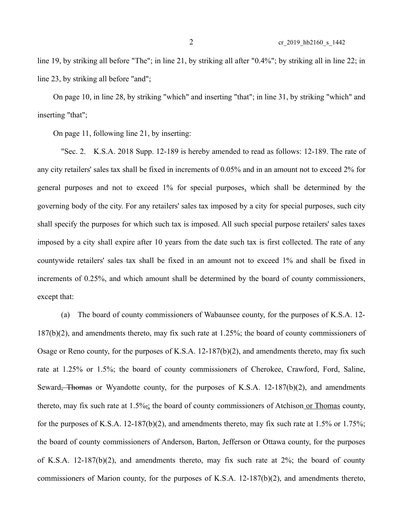line 19, by striking all before "The"; in line 21, by striking all after "0.4%"; by striking all in line 22; in line 23, by striking all before "and";

On page 10, in line 28, by striking "which" and inserting "that"; in line 31, by striking "which" and inserting "that";

On page 11, following line 21, by inserting:

"Sec. 2. K.S.A. 2018 Supp. 12-189 is hereby amended to read as follows: 12-189. The rate of any city retailers' sales tax shall be fixed in increments of 0.05% and in an amount not to exceed 2% for general purposes and not to exceed 1% for special purposes, which shall be determined by the governing body of the city. For any retailers' sales tax imposed by a city for special purposes, such city shall specify the purposes for which such tax is imposed. All such special purpose retailers' sales taxes imposed by a city shall expire after 10 years from the date such tax is first collected. The rate of any countywide retailers' sales tax shall be fixed in an amount not to exceed 1% and shall be fixed in increments of 0.25%, and which amount shall be determined by the board of county commissioners, except that:

(a) The board of county commissioners of Wabaunsee county, for the purposes of K.S.A. 12- 187(b)(2), and amendments thereto, may fix such rate at 1.25%; the board of county commissioners of Osage or Reno county, for the purposes of K.S.A.  $12-187(b)(2)$ , and amendments thereto, may fix such rate at 1.25% or 1.5%; the board of county commissioners of Cherokee, Crawford, Ford, Saline, Seward<del>, Thomas</del> or Wyandotte county, for the purposes of K.S.A. 12-187(b)(2), and amendments thereto, may fix such rate at  $1.5\%$ ; the board of county commissioners of Atchison or Thomas county, for the purposes of K.S.A. 12-187(b)(2), and amendments thereto, may fix such rate at 1.5% or 1.75%; the board of county commissioners of Anderson, Barton, Jefferson or Ottawa county, for the purposes of K.S.A. 12-187(b)(2), and amendments thereto, may fix such rate at  $2\%$ ; the board of county commissioners of Marion county, for the purposes of K.S.A. 12-187(b)(2), and amendments thereto,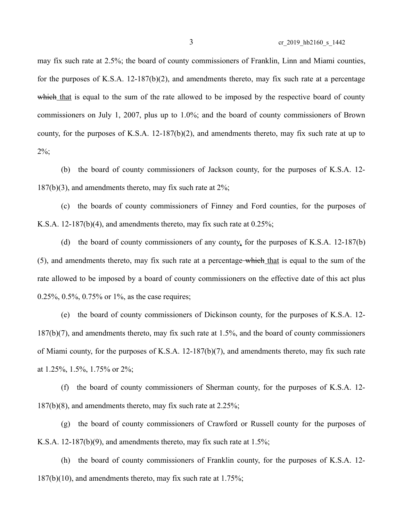may fix such rate at 2.5%; the board of county commissioners of Franklin, Linn and Miami counties, for the purposes of K.S.A. 12-187(b)(2), and amendments thereto, may fix such rate at a percentage which that is equal to the sum of the rate allowed to be imposed by the respective board of county commissioners on July 1, 2007, plus up to 1.0%; and the board of county commissioners of Brown county, for the purposes of K.S.A. 12-187(b)(2), and amendments thereto, may fix such rate at up to  $2\%$ ;

(b) the board of county commissioners of Jackson county, for the purposes of K.S.A. 12-  $187(b)(3)$ , and amendments thereto, may fix such rate at  $2\%$ ;

(c) the boards of county commissioners of Finney and Ford counties, for the purposes of K.S.A. 12-187(b)(4), and amendments thereto, may fix such rate at  $0.25\%$ ;

(d) the board of county commissioners of any county, for the purposes of K.S.A. 12-187(b) (5), and amendments thereto, may fix such rate at a percentage-which that is equal to the sum of the rate allowed to be imposed by a board of county commissioners on the effective date of this act plus 0.25%, 0.5%, 0.75% or 1%, as the case requires;

(e) the board of county commissioners of Dickinson county, for the purposes of K.S.A. 12- 187(b)(7), and amendments thereto, may fix such rate at 1.5%, and the board of county commissioners of Miami county, for the purposes of K.S.A. 12-187(b)(7), and amendments thereto, may fix such rate at 1.25%, 1.5%, 1.75% or 2%;

(f) the board of county commissioners of Sherman county, for the purposes of K.S.A. 12- 187(b)(8), and amendments thereto, may fix such rate at 2.25%;

(g) the board of county commissioners of Crawford or Russell county for the purposes of K.S.A. 12-187(b)(9), and amendments thereto, may fix such rate at  $1.5\%$ ;

(h) the board of county commissioners of Franklin county, for the purposes of K.S.A. 12-  $187(b)(10)$ , and amendments thereto, may fix such rate at  $1.75\%$ ;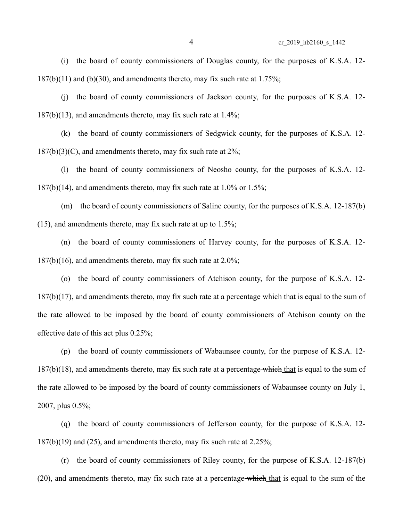(i) the board of county commissioners of Douglas county, for the purposes of K.S.A. 12-  $187(b)(11)$  and (b)(30), and amendments thereto, may fix such rate at 1.75%;

(j) the board of county commissioners of Jackson county, for the purposes of K.S.A. 12-  $187(b)(13)$ , and amendments thereto, may fix such rate at  $1.4\%$ ;

(k) the board of county commissioners of Sedgwick county, for the purposes of K.S.A. 12-  $187(b)(3)(C)$ , and amendments thereto, may fix such rate at  $2\%$ ;

(l) the board of county commissioners of Neosho county, for the purposes of K.S.A. 12-  $187(b)(14)$ , and amendments thereto, may fix such rate at 1.0% or 1.5%;

(m) the board of county commissioners of Saline county, for the purposes of K.S.A. 12-187(b)  $(15)$ , and amendments thereto, may fix such rate at up to  $1.5\%$ ;

(n) the board of county commissioners of Harvey county, for the purposes of K.S.A. 12- 187(b)(16), and amendments thereto, may fix such rate at 2.0%;

(o) the board of county commissioners of Atchison county, for the purpose of K.S.A. 12-  $187(b)(17)$ , and amendments thereto, may fix such rate at a percentage which that is equal to the sum of the rate allowed to be imposed by the board of county commissioners of Atchison county on the effective date of this act plus 0.25%;

(p) the board of county commissioners of Wabaunsee county, for the purpose of K.S.A. 12- 187(b)(18), and amendments thereto, may fix such rate at a percentage which that is equal to the sum of the rate allowed to be imposed by the board of county commissioners of Wabaunsee county on July 1, 2007, plus 0.5%;

(q) the board of county commissioners of Jefferson county, for the purpose of K.S.A. 12-  $187(b)(19)$  and  $(25)$ , and amendments thereto, may fix such rate at  $2.25\%$ ;

(r) the board of county commissioners of Riley county, for the purpose of K.S.A. 12-187(b) (20), and amendments thereto, may fix such rate at a percentage-which that is equal to the sum of the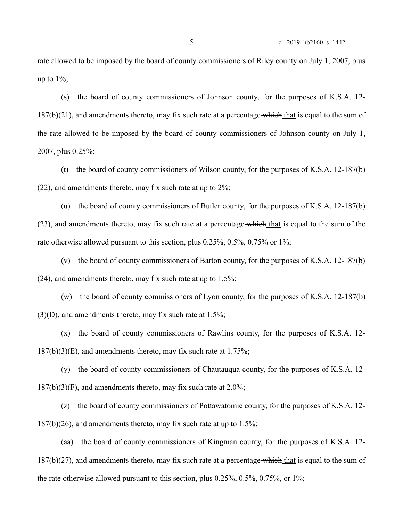rate allowed to be imposed by the board of county commissioners of Riley county on July 1, 2007, plus up to  $1\%$ ;

(s) the board of county commissioners of Johnson county, for the purposes of K.S.A. 12-  $187(b)(21)$ , and amendments thereto, may fix such rate at a percentage which that is equal to the sum of the rate allowed to be imposed by the board of county commissioners of Johnson county on July 1, 2007, plus 0.25%;

(t) the board of county commissioners of Wilson county, for the purposes of K.S.A. 12-187(b) (22), and amendments thereto, may fix such rate at up to 2%;

(u) the board of county commissioners of Butler county, for the purposes of K.S.A. 12-187(b) (23), and amendments thereto, may fix such rate at a percentage-which that is equal to the sum of the rate otherwise allowed pursuant to this section, plus 0.25%, 0.5%, 0.75% or 1%;

(v) the board of county commissioners of Barton county, for the purposes of K.S.A. 12-187(b) (24), and amendments thereto, may fix such rate at up to 1.5%;

(w) the board of county commissioners of Lyon county, for the purposes of K.S.A. 12-187(b)  $(3)(D)$ , and amendments thereto, may fix such rate at 1.5%;

(x) the board of county commissioners of Rawlins county, for the purposes of K.S.A. 12-  $187(b)(3)(E)$ , and amendments thereto, may fix such rate at 1.75%;

(y) the board of county commissioners of Chautauqua county, for the purposes of K.S.A. 12-  $187(b)(3)(F)$ , and amendments thereto, may fix such rate at 2.0%;

(z) the board of county commissioners of Pottawatomie county, for the purposes of K.S.A. 12-  $187(b)(26)$ , and amendments thereto, may fix such rate at up to  $1.5\%$ ;

(aa) the board of county commissioners of Kingman county, for the purposes of K.S.A. 12-  $187(b)(27)$ , and amendments thereto, may fix such rate at a percentage which that is equal to the sum of the rate otherwise allowed pursuant to this section, plus 0.25%, 0.5%, 0.75%, or 1%;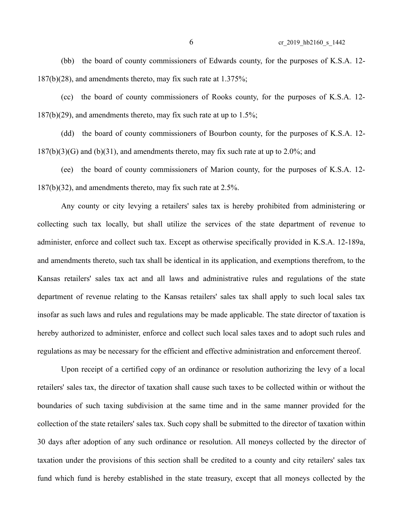(bb) the board of county commissioners of Edwards county, for the purposes of K.S.A. 12- 187(b)(28), and amendments thereto, may fix such rate at 1.375%;

(cc) the board of county commissioners of Rooks county, for the purposes of K.S.A. 12-  $187(b)(29)$ , and amendments thereto, may fix such rate at up to  $1.5\%$ ;

(dd) the board of county commissioners of Bourbon county, for the purposes of K.S.A. 12-  $187(b)(3)(G)$  and  $(b)(31)$ , and amendments thereto, may fix such rate at up to 2.0%; and

(ee) the board of county commissioners of Marion county, for the purposes of K.S.A. 12- 187(b)(32), and amendments thereto, may fix such rate at 2.5%.

Any county or city levying a retailers' sales tax is hereby prohibited from administering or collecting such tax locally, but shall utilize the services of the state department of revenue to administer, enforce and collect such tax. Except as otherwise specifically provided in K.S.A. 12-189a, and amendments thereto, such tax shall be identical in its application, and exemptions therefrom, to the Kansas retailers' sales tax act and all laws and administrative rules and regulations of the state department of revenue relating to the Kansas retailers' sales tax shall apply to such local sales tax insofar as such laws and rules and regulations may be made applicable. The state director of taxation is hereby authorized to administer, enforce and collect such local sales taxes and to adopt such rules and regulations as may be necessary for the efficient and effective administration and enforcement thereof.

Upon receipt of a certified copy of an ordinance or resolution authorizing the levy of a local retailers' sales tax, the director of taxation shall cause such taxes to be collected within or without the boundaries of such taxing subdivision at the same time and in the same manner provided for the collection of the state retailers' sales tax. Such copy shall be submitted to the director of taxation within 30 days after adoption of any such ordinance or resolution. All moneys collected by the director of taxation under the provisions of this section shall be credited to a county and city retailers' sales tax fund which fund is hereby established in the state treasury, except that all moneys collected by the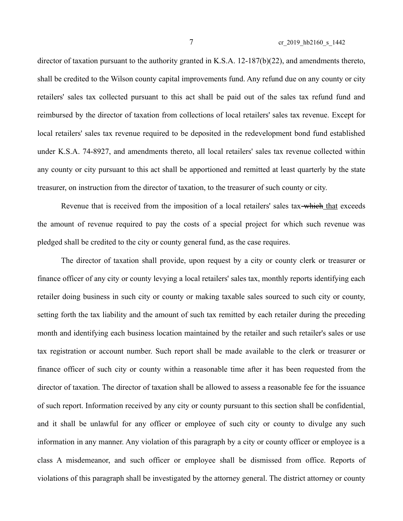director of taxation pursuant to the authority granted in K.S.A. 12-187(b)(22), and amendments thereto, shall be credited to the Wilson county capital improvements fund. Any refund due on any county or city retailers' sales tax collected pursuant to this act shall be paid out of the sales tax refund fund and reimbursed by the director of taxation from collections of local retailers' sales tax revenue. Except for local retailers' sales tax revenue required to be deposited in the redevelopment bond fund established under K.S.A. 74-8927, and amendments thereto, all local retailers' sales tax revenue collected within any county or city pursuant to this act shall be apportioned and remitted at least quarterly by the state treasurer, on instruction from the director of taxation, to the treasurer of such county or city.

Revenue that is received from the imposition of a local retailers' sales tax-which that exceeds the amount of revenue required to pay the costs of a special project for which such revenue was pledged shall be credited to the city or county general fund, as the case requires.

The director of taxation shall provide, upon request by a city or county clerk or treasurer or finance officer of any city or county levying a local retailers' sales tax, monthly reports identifying each retailer doing business in such city or county or making taxable sales sourced to such city or county, setting forth the tax liability and the amount of such tax remitted by each retailer during the preceding month and identifying each business location maintained by the retailer and such retailer's sales or use tax registration or account number. Such report shall be made available to the clerk or treasurer or finance officer of such city or county within a reasonable time after it has been requested from the director of taxation. The director of taxation shall be allowed to assess a reasonable fee for the issuance of such report. Information received by any city or county pursuant to this section shall be confidential, and it shall be unlawful for any officer or employee of such city or county to divulge any such information in any manner. Any violation of this paragraph by a city or county officer or employee is a class A misdemeanor, and such officer or employee shall be dismissed from office. Reports of violations of this paragraph shall be investigated by the attorney general. The district attorney or county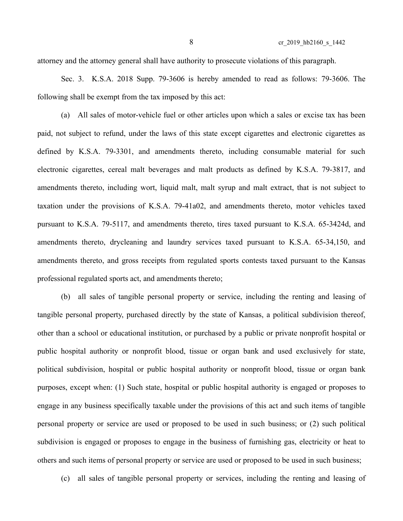attorney and the attorney general shall have authority to prosecute violations of this paragraph.

Sec. 3. K.S.A. 2018 Supp. 79-3606 is hereby amended to read as follows: 79-3606. The following shall be exempt from the tax imposed by this act:

(a) All sales of motor-vehicle fuel or other articles upon which a sales or excise tax has been paid, not subject to refund, under the laws of this state except cigarettes and electronic cigarettes as defined by K.S.A. 79-3301, and amendments thereto, including consumable material for such electronic cigarettes, cereal malt beverages and malt products as defined by K.S.A. 79-3817, and amendments thereto, including wort, liquid malt, malt syrup and malt extract, that is not subject to taxation under the provisions of K.S.A. 79-41a02, and amendments thereto, motor vehicles taxed pursuant to K.S.A. 79-5117, and amendments thereto, tires taxed pursuant to K.S.A. 65-3424d, and amendments thereto, drycleaning and laundry services taxed pursuant to K.S.A. 65-34,150, and amendments thereto, and gross receipts from regulated sports contests taxed pursuant to the Kansas professional regulated sports act, and amendments thereto;

(b) all sales of tangible personal property or service, including the renting and leasing of tangible personal property, purchased directly by the state of Kansas, a political subdivision thereof, other than a school or educational institution, or purchased by a public or private nonprofit hospital or public hospital authority or nonprofit blood, tissue or organ bank and used exclusively for state, political subdivision, hospital or public hospital authority or nonprofit blood, tissue or organ bank purposes, except when: (1) Such state, hospital or public hospital authority is engaged or proposes to engage in any business specifically taxable under the provisions of this act and such items of tangible personal property or service are used or proposed to be used in such business; or (2) such political subdivision is engaged or proposes to engage in the business of furnishing gas, electricity or heat to others and such items of personal property or service are used or proposed to be used in such business;

(c) all sales of tangible personal property or services, including the renting and leasing of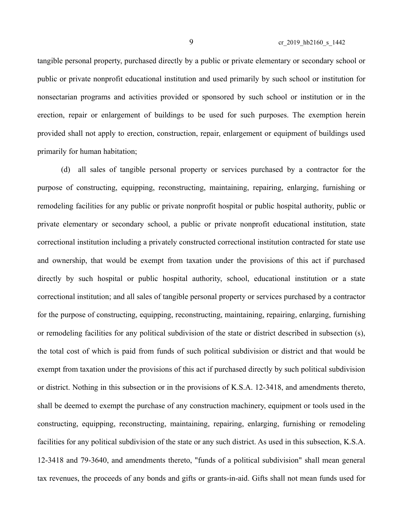9 cr\_2019\_hb2160\_s\_1442

tangible personal property, purchased directly by a public or private elementary or secondary school or public or private nonprofit educational institution and used primarily by such school or institution for nonsectarian programs and activities provided or sponsored by such school or institution or in the erection, repair or enlargement of buildings to be used for such purposes. The exemption herein provided shall not apply to erection, construction, repair, enlargement or equipment of buildings used primarily for human habitation;

(d) all sales of tangible personal property or services purchased by a contractor for the purpose of constructing, equipping, reconstructing, maintaining, repairing, enlarging, furnishing or remodeling facilities for any public or private nonprofit hospital or public hospital authority, public or private elementary or secondary school, a public or private nonprofit educational institution, state correctional institution including a privately constructed correctional institution contracted for state use and ownership, that would be exempt from taxation under the provisions of this act if purchased directly by such hospital or public hospital authority, school, educational institution or a state correctional institution; and all sales of tangible personal property or services purchased by a contractor for the purpose of constructing, equipping, reconstructing, maintaining, repairing, enlarging, furnishing or remodeling facilities for any political subdivision of the state or district described in subsection (s), the total cost of which is paid from funds of such political subdivision or district and that would be exempt from taxation under the provisions of this act if purchased directly by such political subdivision or district. Nothing in this subsection or in the provisions of K.S.A. 12-3418, and amendments thereto, shall be deemed to exempt the purchase of any construction machinery, equipment or tools used in the constructing, equipping, reconstructing, maintaining, repairing, enlarging, furnishing or remodeling facilities for any political subdivision of the state or any such district. As used in this subsection, K.S.A. 12-3418 and 79-3640, and amendments thereto, "funds of a political subdivision" shall mean general tax revenues, the proceeds of any bonds and gifts or grants-in-aid. Gifts shall not mean funds used for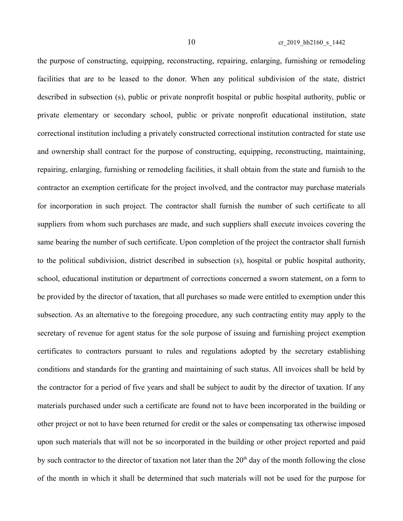the purpose of constructing, equipping, reconstructing, repairing, enlarging, furnishing or remodeling facilities that are to be leased to the donor. When any political subdivision of the state, district described in subsection (s), public or private nonprofit hospital or public hospital authority, public or private elementary or secondary school, public or private nonprofit educational institution, state correctional institution including a privately constructed correctional institution contracted for state use and ownership shall contract for the purpose of constructing, equipping, reconstructing, maintaining, repairing, enlarging, furnishing or remodeling facilities, it shall obtain from the state and furnish to the contractor an exemption certificate for the project involved, and the contractor may purchase materials for incorporation in such project. The contractor shall furnish the number of such certificate to all suppliers from whom such purchases are made, and such suppliers shall execute invoices covering the same bearing the number of such certificate. Upon completion of the project the contractor shall furnish to the political subdivision, district described in subsection (s), hospital or public hospital authority, school, educational institution or department of corrections concerned a sworn statement, on a form to be provided by the director of taxation, that all purchases so made were entitled to exemption under this subsection. As an alternative to the foregoing procedure, any such contracting entity may apply to the secretary of revenue for agent status for the sole purpose of issuing and furnishing project exemption certificates to contractors pursuant to rules and regulations adopted by the secretary establishing conditions and standards for the granting and maintaining of such status. All invoices shall be held by the contractor for a period of five years and shall be subject to audit by the director of taxation. If any materials purchased under such a certificate are found not to have been incorporated in the building or other project or not to have been returned for credit or the sales or compensating tax otherwise imposed upon such materials that will not be so incorporated in the building or other project reported and paid by such contractor to the director of taxation not later than the  $20<sup>th</sup>$  day of the month following the close of the month in which it shall be determined that such materials will not be used for the purpose for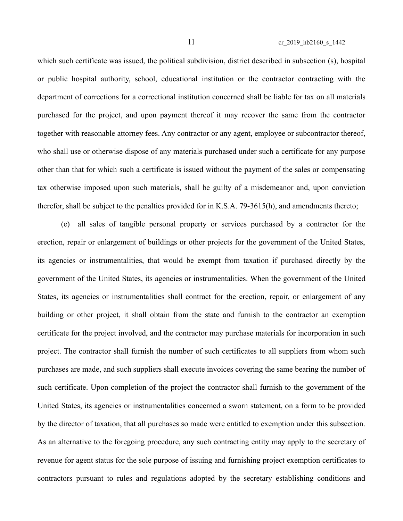which such certificate was issued, the political subdivision, district described in subsection (s), hospital or public hospital authority, school, educational institution or the contractor contracting with the department of corrections for a correctional institution concerned shall be liable for tax on all materials purchased for the project, and upon payment thereof it may recover the same from the contractor together with reasonable attorney fees. Any contractor or any agent, employee or subcontractor thereof, who shall use or otherwise dispose of any materials purchased under such a certificate for any purpose other than that for which such a certificate is issued without the payment of the sales or compensating tax otherwise imposed upon such materials, shall be guilty of a misdemeanor and, upon conviction therefor, shall be subject to the penalties provided for in K.S.A. 79-3615(h), and amendments thereto;

(e) all sales of tangible personal property or services purchased by a contractor for the erection, repair or enlargement of buildings or other projects for the government of the United States, its agencies or instrumentalities, that would be exempt from taxation if purchased directly by the government of the United States, its agencies or instrumentalities. When the government of the United States, its agencies or instrumentalities shall contract for the erection, repair, or enlargement of any building or other project, it shall obtain from the state and furnish to the contractor an exemption certificate for the project involved, and the contractor may purchase materials for incorporation in such project. The contractor shall furnish the number of such certificates to all suppliers from whom such purchases are made, and such suppliers shall execute invoices covering the same bearing the number of such certificate. Upon completion of the project the contractor shall furnish to the government of the United States, its agencies or instrumentalities concerned a sworn statement, on a form to be provided by the director of taxation, that all purchases so made were entitled to exemption under this subsection. As an alternative to the foregoing procedure, any such contracting entity may apply to the secretary of revenue for agent status for the sole purpose of issuing and furnishing project exemption certificates to contractors pursuant to rules and regulations adopted by the secretary establishing conditions and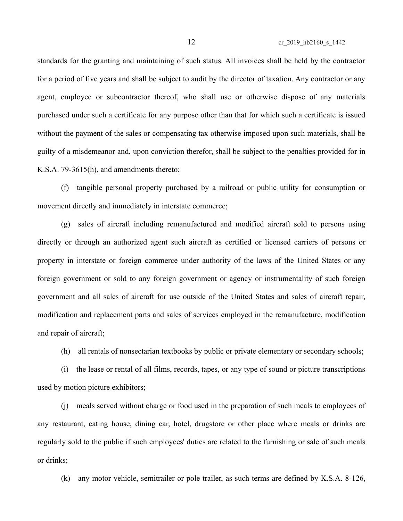standards for the granting and maintaining of such status. All invoices shall be held by the contractor for a period of five years and shall be subject to audit by the director of taxation. Any contractor or any agent, employee or subcontractor thereof, who shall use or otherwise dispose of any materials purchased under such a certificate for any purpose other than that for which such a certificate is issued without the payment of the sales or compensating tax otherwise imposed upon such materials, shall be guilty of a misdemeanor and, upon conviction therefor, shall be subject to the penalties provided for in K.S.A. 79-3615(h), and amendments thereto;

(f) tangible personal property purchased by a railroad or public utility for consumption or movement directly and immediately in interstate commerce;

(g) sales of aircraft including remanufactured and modified aircraft sold to persons using directly or through an authorized agent such aircraft as certified or licensed carriers of persons or property in interstate or foreign commerce under authority of the laws of the United States or any foreign government or sold to any foreign government or agency or instrumentality of such foreign government and all sales of aircraft for use outside of the United States and sales of aircraft repair, modification and replacement parts and sales of services employed in the remanufacture, modification and repair of aircraft;

(h) all rentals of nonsectarian textbooks by public or private elementary or secondary schools;

(i) the lease or rental of all films, records, tapes, or any type of sound or picture transcriptions used by motion picture exhibitors;

(j) meals served without charge or food used in the preparation of such meals to employees of any restaurant, eating house, dining car, hotel, drugstore or other place where meals or drinks are regularly sold to the public if such employees' duties are related to the furnishing or sale of such meals or drinks;

(k) any motor vehicle, semitrailer or pole trailer, as such terms are defined by K.S.A. 8-126,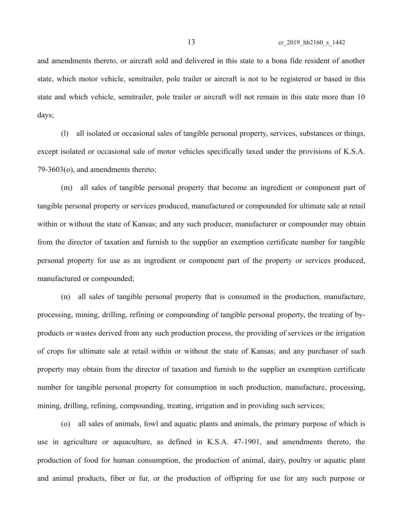and amendments thereto, or aircraft sold and delivered in this state to a bona fide resident of another state, which motor vehicle, semitrailer, pole trailer or aircraft is not to be registered or based in this state and which vehicle, semitrailer, pole trailer or aircraft will not remain in this state more than 10 days;

(l) all isolated or occasional sales of tangible personal property, services, substances or things, except isolated or occasional sale of motor vehicles specifically taxed under the provisions of K.S.A. 79-3603(o), and amendments thereto;

(m) all sales of tangible personal property that become an ingredient or component part of tangible personal property or services produced, manufactured or compounded for ultimate sale at retail within or without the state of Kansas; and any such producer, manufacturer or compounder may obtain from the director of taxation and furnish to the supplier an exemption certificate number for tangible personal property for use as an ingredient or component part of the property or services produced, manufactured or compounded;

(n) all sales of tangible personal property that is consumed in the production, manufacture, processing, mining, drilling, refining or compounding of tangible personal property, the treating of byproducts or wastes derived from any such production process, the providing of services or the irrigation of crops for ultimate sale at retail within or without the state of Kansas; and any purchaser of such property may obtain from the director of taxation and furnish to the supplier an exemption certificate number for tangible personal property for consumption in such production, manufacture, processing, mining, drilling, refining, compounding, treating, irrigation and in providing such services;

(o) all sales of animals, fowl and aquatic plants and animals, the primary purpose of which is use in agriculture or aquaculture, as defined in K.S.A. 47-1901, and amendments thereto, the production of food for human consumption, the production of animal, dairy, poultry or aquatic plant and animal products, fiber or fur, or the production of offspring for use for any such purpose or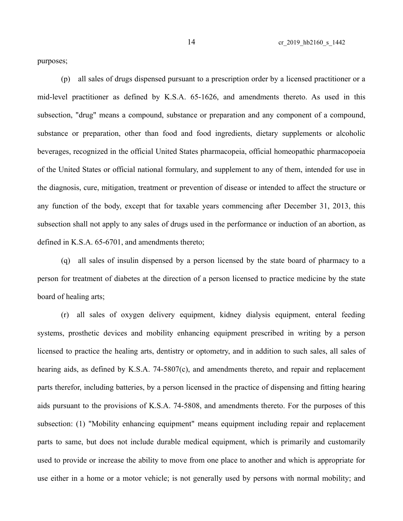purposes;

(p) all sales of drugs dispensed pursuant to a prescription order by a licensed practitioner or a mid-level practitioner as defined by K.S.A. 65-1626, and amendments thereto. As used in this subsection, "drug" means a compound, substance or preparation and any component of a compound, substance or preparation, other than food and food ingredients, dietary supplements or alcoholic beverages, recognized in the official United States pharmacopeia, official homeopathic pharmacopoeia of the United States or official national formulary, and supplement to any of them, intended for use in the diagnosis, cure, mitigation, treatment or prevention of disease or intended to affect the structure or any function of the body, except that for taxable years commencing after December 31, 2013, this subsection shall not apply to any sales of drugs used in the performance or induction of an abortion, as defined in K.S.A. 65-6701, and amendments thereto;

(q) all sales of insulin dispensed by a person licensed by the state board of pharmacy to a person for treatment of diabetes at the direction of a person licensed to practice medicine by the state board of healing arts;

(r) all sales of oxygen delivery equipment, kidney dialysis equipment, enteral feeding systems, prosthetic devices and mobility enhancing equipment prescribed in writing by a person licensed to practice the healing arts, dentistry or optometry, and in addition to such sales, all sales of hearing aids, as defined by K.S.A. 74-5807(c), and amendments thereto, and repair and replacement parts therefor, including batteries, by a person licensed in the practice of dispensing and fitting hearing aids pursuant to the provisions of K.S.A. 74-5808, and amendments thereto. For the purposes of this subsection: (1) "Mobility enhancing equipment" means equipment including repair and replacement parts to same, but does not include durable medical equipment, which is primarily and customarily used to provide or increase the ability to move from one place to another and which is appropriate for use either in a home or a motor vehicle; is not generally used by persons with normal mobility; and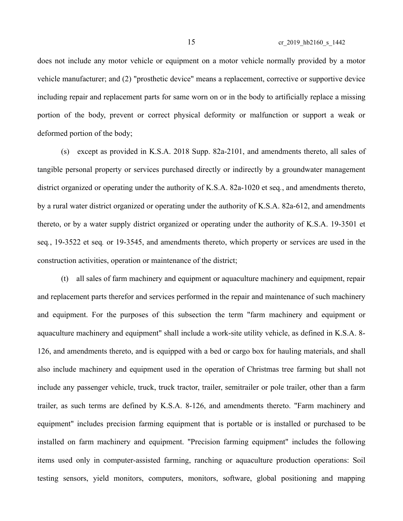does not include any motor vehicle or equipment on a motor vehicle normally provided by a motor vehicle manufacturer; and (2) "prosthetic device" means a replacement, corrective or supportive device including repair and replacement parts for same worn on or in the body to artificially replace a missing portion of the body, prevent or correct physical deformity or malfunction or support a weak or deformed portion of the body;

(s) except as provided in K.S.A. 2018 Supp. 82a-2101, and amendments thereto, all sales of tangible personal property or services purchased directly or indirectly by a groundwater management district organized or operating under the authority of K.S.A. 82a-1020 et seq*.*, and amendments thereto, by a rural water district organized or operating under the authority of K.S.A. 82a-612, and amendments thereto, or by a water supply district organized or operating under the authority of K.S.A. 19-3501 et seq*.*, 19-3522 et seq*.* or 19-3545, and amendments thereto, which property or services are used in the construction activities, operation or maintenance of the district;

(t) all sales of farm machinery and equipment or aquaculture machinery and equipment, repair and replacement parts therefor and services performed in the repair and maintenance of such machinery and equipment. For the purposes of this subsection the term "farm machinery and equipment or aquaculture machinery and equipment" shall include a work-site utility vehicle, as defined in K.S.A. 8- 126, and amendments thereto, and is equipped with a bed or cargo box for hauling materials, and shall also include machinery and equipment used in the operation of Christmas tree farming but shall not include any passenger vehicle, truck, truck tractor, trailer, semitrailer or pole trailer, other than a farm trailer, as such terms are defined by K.S.A. 8-126, and amendments thereto. "Farm machinery and equipment" includes precision farming equipment that is portable or is installed or purchased to be installed on farm machinery and equipment. "Precision farming equipment" includes the following items used only in computer-assisted farming, ranching or aquaculture production operations: Soil testing sensors, yield monitors, computers, monitors, software, global positioning and mapping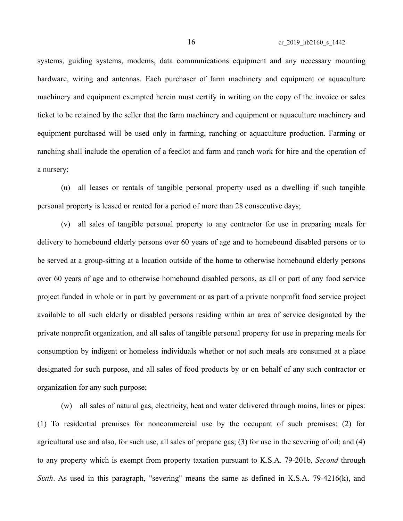16 cr\_2019\_hb2160\_s\_1442

systems, guiding systems, modems, data communications equipment and any necessary mounting hardware, wiring and antennas. Each purchaser of farm machinery and equipment or aquaculture machinery and equipment exempted herein must certify in writing on the copy of the invoice or sales ticket to be retained by the seller that the farm machinery and equipment or aquaculture machinery and equipment purchased will be used only in farming, ranching or aquaculture production. Farming or ranching shall include the operation of a feedlot and farm and ranch work for hire and the operation of a nursery;

(u) all leases or rentals of tangible personal property used as a dwelling if such tangible personal property is leased or rented for a period of more than 28 consecutive days;

(v) all sales of tangible personal property to any contractor for use in preparing meals for delivery to homebound elderly persons over 60 years of age and to homebound disabled persons or to be served at a group-sitting at a location outside of the home to otherwise homebound elderly persons over 60 years of age and to otherwise homebound disabled persons, as all or part of any food service project funded in whole or in part by government or as part of a private nonprofit food service project available to all such elderly or disabled persons residing within an area of service designated by the private nonprofit organization, and all sales of tangible personal property for use in preparing meals for consumption by indigent or homeless individuals whether or not such meals are consumed at a place designated for such purpose, and all sales of food products by or on behalf of any such contractor or organization for any such purpose;

(w) all sales of natural gas, electricity, heat and water delivered through mains, lines or pipes: (1) To residential premises for noncommercial use by the occupant of such premises; (2) for agricultural use and also, for such use, all sales of propane gas; (3) for use in the severing of oil; and (4) to any property which is exempt from property taxation pursuant to K.S.A. 79-201b, *Second* through *Sixth*. As used in this paragraph, "severing" means the same as defined in K.S.A. 79-4216(k), and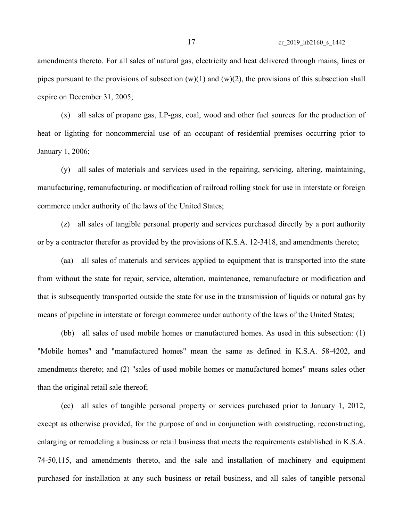17 cr\_2019\_hb2160\_s\_1442

amendments thereto. For all sales of natural gas, electricity and heat delivered through mains, lines or pipes pursuant to the provisions of subsection  $(w)(1)$  and  $(w)(2)$ , the provisions of this subsection shall expire on December 31, 2005;

(x) all sales of propane gas, LP-gas, coal, wood and other fuel sources for the production of heat or lighting for noncommercial use of an occupant of residential premises occurring prior to January 1, 2006;

(y) all sales of materials and services used in the repairing, servicing, altering, maintaining, manufacturing, remanufacturing, or modification of railroad rolling stock for use in interstate or foreign commerce under authority of the laws of the United States;

(z) all sales of tangible personal property and services purchased directly by a port authority or by a contractor therefor as provided by the provisions of K.S.A. 12-3418, and amendments thereto;

(aa) all sales of materials and services applied to equipment that is transported into the state from without the state for repair, service, alteration, maintenance, remanufacture or modification and that is subsequently transported outside the state for use in the transmission of liquids or natural gas by means of pipeline in interstate or foreign commerce under authority of the laws of the United States;

(bb) all sales of used mobile homes or manufactured homes. As used in this subsection: (1) "Mobile homes" and "manufactured homes" mean the same as defined in K.S.A. 58-4202, and amendments thereto; and (2) "sales of used mobile homes or manufactured homes" means sales other than the original retail sale thereof;

(cc) all sales of tangible personal property or services purchased prior to January 1, 2012, except as otherwise provided, for the purpose of and in conjunction with constructing, reconstructing, enlarging or remodeling a business or retail business that meets the requirements established in K.S.A. 74-50,115, and amendments thereto, and the sale and installation of machinery and equipment purchased for installation at any such business or retail business, and all sales of tangible personal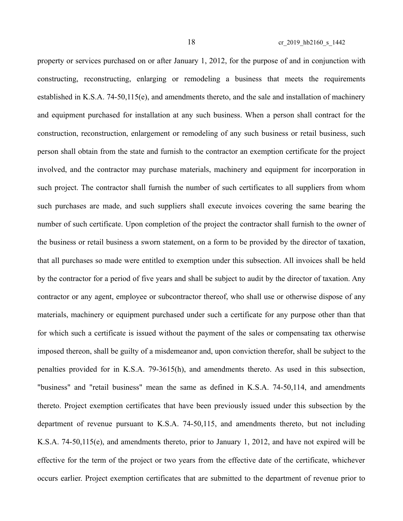property or services purchased on or after January 1, 2012, for the purpose of and in conjunction with constructing, reconstructing, enlarging or remodeling a business that meets the requirements established in K.S.A. 74-50,115(e), and amendments thereto, and the sale and installation of machinery and equipment purchased for installation at any such business. When a person shall contract for the construction, reconstruction, enlargement or remodeling of any such business or retail business, such person shall obtain from the state and furnish to the contractor an exemption certificate for the project involved, and the contractor may purchase materials, machinery and equipment for incorporation in such project. The contractor shall furnish the number of such certificates to all suppliers from whom such purchases are made, and such suppliers shall execute invoices covering the same bearing the number of such certificate. Upon completion of the project the contractor shall furnish to the owner of the business or retail business a sworn statement, on a form to be provided by the director of taxation, that all purchases so made were entitled to exemption under this subsection. All invoices shall be held by the contractor for a period of five years and shall be subject to audit by the director of taxation. Any contractor or any agent, employee or subcontractor thereof, who shall use or otherwise dispose of any materials, machinery or equipment purchased under such a certificate for any purpose other than that for which such a certificate is issued without the payment of the sales or compensating tax otherwise imposed thereon, shall be guilty of a misdemeanor and, upon conviction therefor, shall be subject to the penalties provided for in K.S.A. 79-3615(h), and amendments thereto. As used in this subsection, "business" and "retail business" mean the same as defined in K.S.A. 74-50,114, and amendments thereto. Project exemption certificates that have been previously issued under this subsection by the department of revenue pursuant to K.S.A. 74-50,115, and amendments thereto, but not including K.S.A. 74-50,115(e), and amendments thereto, prior to January 1, 2012, and have not expired will be effective for the term of the project or two years from the effective date of the certificate, whichever occurs earlier. Project exemption certificates that are submitted to the department of revenue prior to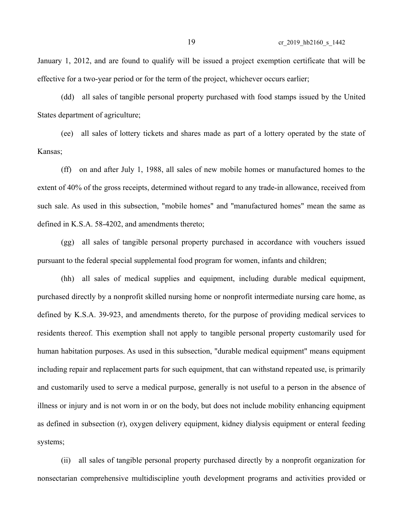January 1, 2012, and are found to qualify will be issued a project exemption certificate that will be effective for a two-year period or for the term of the project, whichever occurs earlier;

(dd) all sales of tangible personal property purchased with food stamps issued by the United States department of agriculture;

(ee) all sales of lottery tickets and shares made as part of a lottery operated by the state of Kansas;

(ff) on and after July 1, 1988, all sales of new mobile homes or manufactured homes to the extent of 40% of the gross receipts, determined without regard to any trade-in allowance, received from such sale. As used in this subsection, "mobile homes" and "manufactured homes" mean the same as defined in K.S.A. 58-4202, and amendments thereto;

(gg) all sales of tangible personal property purchased in accordance with vouchers issued pursuant to the federal special supplemental food program for women, infants and children;

(hh) all sales of medical supplies and equipment, including durable medical equipment, purchased directly by a nonprofit skilled nursing home or nonprofit intermediate nursing care home, as defined by K.S.A. 39-923, and amendments thereto, for the purpose of providing medical services to residents thereof. This exemption shall not apply to tangible personal property customarily used for human habitation purposes. As used in this subsection, "durable medical equipment" means equipment including repair and replacement parts for such equipment, that can withstand repeated use, is primarily and customarily used to serve a medical purpose, generally is not useful to a person in the absence of illness or injury and is not worn in or on the body, but does not include mobility enhancing equipment as defined in subsection (r), oxygen delivery equipment, kidney dialysis equipment or enteral feeding systems;

(ii) all sales of tangible personal property purchased directly by a nonprofit organization for nonsectarian comprehensive multidiscipline youth development programs and activities provided or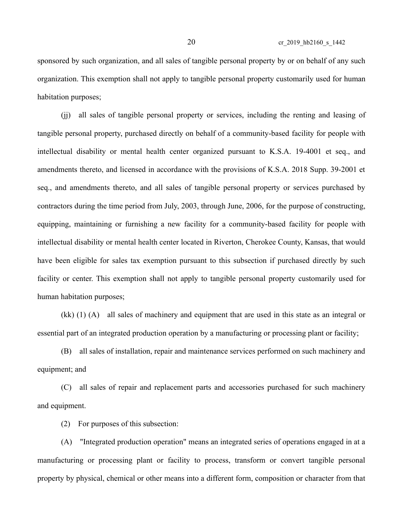sponsored by such organization, and all sales of tangible personal property by or on behalf of any such organization. This exemption shall not apply to tangible personal property customarily used for human habitation purposes;

(jj) all sales of tangible personal property or services, including the renting and leasing of tangible personal property, purchased directly on behalf of a community-based facility for people with intellectual disability or mental health center organized pursuant to K.S.A. 19-4001 et seq., and amendments thereto, and licensed in accordance with the provisions of K.S.A. 2018 Supp. 39-2001 et seq., and amendments thereto, and all sales of tangible personal property or services purchased by contractors during the time period from July, 2003, through June, 2006, for the purpose of constructing, equipping, maintaining or furnishing a new facility for a community-based facility for people with intellectual disability or mental health center located in Riverton, Cherokee County, Kansas, that would have been eligible for sales tax exemption pursuant to this subsection if purchased directly by such facility or center. This exemption shall not apply to tangible personal property customarily used for human habitation purposes;

(kk) (1) (A) all sales of machinery and equipment that are used in this state as an integral or essential part of an integrated production operation by a manufacturing or processing plant or facility;

(B) all sales of installation, repair and maintenance services performed on such machinery and equipment; and

(C) all sales of repair and replacement parts and accessories purchased for such machinery and equipment.

(2) For purposes of this subsection:

(A) "Integrated production operation" means an integrated series of operations engaged in at a manufacturing or processing plant or facility to process, transform or convert tangible personal property by physical, chemical or other means into a different form, composition or character from that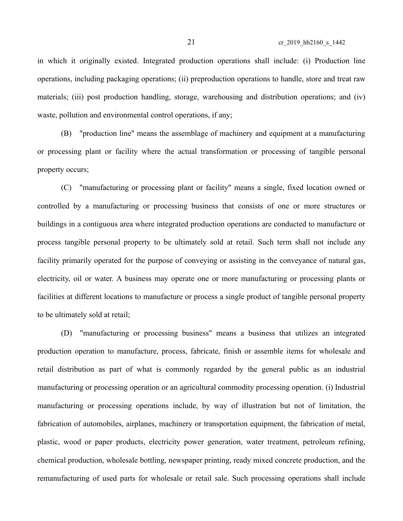in which it originally existed. Integrated production operations shall include: (i) Production line operations, including packaging operations; (ii) preproduction operations to handle, store and treat raw materials; (iii) post production handling, storage, warehousing and distribution operations; and (iv) waste, pollution and environmental control operations, if any;

(B) "production line" means the assemblage of machinery and equipment at a manufacturing or processing plant or facility where the actual transformation or processing of tangible personal property occurs;

(C) "manufacturing or processing plant or facility" means a single, fixed location owned or controlled by a manufacturing or processing business that consists of one or more structures or buildings in a contiguous area where integrated production operations are conducted to manufacture or process tangible personal property to be ultimately sold at retail. Such term shall not include any facility primarily operated for the purpose of conveying or assisting in the conveyance of natural gas, electricity, oil or water. A business may operate one or more manufacturing or processing plants or facilities at different locations to manufacture or process a single product of tangible personal property to be ultimately sold at retail;

(D) "manufacturing or processing business" means a business that utilizes an integrated production operation to manufacture, process, fabricate, finish or assemble items for wholesale and retail distribution as part of what is commonly regarded by the general public as an industrial manufacturing or processing operation or an agricultural commodity processing operation. (i) Industrial manufacturing or processing operations include, by way of illustration but not of limitation, the fabrication of automobiles, airplanes, machinery or transportation equipment, the fabrication of metal, plastic, wood or paper products, electricity power generation, water treatment, petroleum refining, chemical production, wholesale bottling, newspaper printing, ready mixed concrete production, and the remanufacturing of used parts for wholesale or retail sale. Such processing operations shall include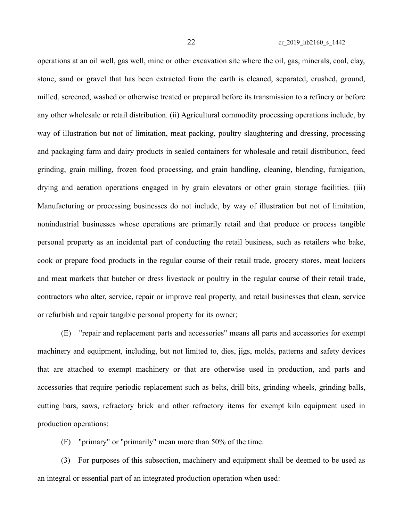operations at an oil well, gas well, mine or other excavation site where the oil, gas, minerals, coal, clay, stone, sand or gravel that has been extracted from the earth is cleaned, separated, crushed, ground, milled, screened, washed or otherwise treated or prepared before its transmission to a refinery or before any other wholesale or retail distribution. (ii) Agricultural commodity processing operations include, by way of illustration but not of limitation, meat packing, poultry slaughtering and dressing, processing and packaging farm and dairy products in sealed containers for wholesale and retail distribution, feed grinding, grain milling, frozen food processing, and grain handling, cleaning, blending, fumigation, drying and aeration operations engaged in by grain elevators or other grain storage facilities. (iii) Manufacturing or processing businesses do not include, by way of illustration but not of limitation, nonindustrial businesses whose operations are primarily retail and that produce or process tangible personal property as an incidental part of conducting the retail business, such as retailers who bake, cook or prepare food products in the regular course of their retail trade, grocery stores, meat lockers and meat markets that butcher or dress livestock or poultry in the regular course of their retail trade, contractors who alter, service, repair or improve real property, and retail businesses that clean, service or refurbish and repair tangible personal property for its owner;

(E) "repair and replacement parts and accessories" means all parts and accessories for exempt machinery and equipment, including, but not limited to, dies, jigs, molds, patterns and safety devices that are attached to exempt machinery or that are otherwise used in production, and parts and accessories that require periodic replacement such as belts, drill bits, grinding wheels, grinding balls, cutting bars, saws, refractory brick and other refractory items for exempt kiln equipment used in production operations;

(F) "primary" or "primarily" mean more than 50% of the time.

(3) For purposes of this subsection, machinery and equipment shall be deemed to be used as an integral or essential part of an integrated production operation when used: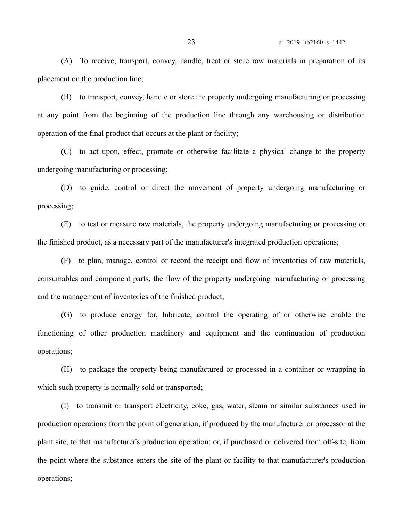(A) To receive, transport, convey, handle, treat or store raw materials in preparation of its placement on the production line;

(B) to transport, convey, handle or store the property undergoing manufacturing or processing at any point from the beginning of the production line through any warehousing or distribution operation of the final product that occurs at the plant or facility;

(C) to act upon, effect, promote or otherwise facilitate a physical change to the property undergoing manufacturing or processing;

(D) to guide, control or direct the movement of property undergoing manufacturing or processing;

(E) to test or measure raw materials, the property undergoing manufacturing or processing or the finished product, as a necessary part of the manufacturer's integrated production operations;

(F) to plan, manage, control or record the receipt and flow of inventories of raw materials, consumables and component parts, the flow of the property undergoing manufacturing or processing and the management of inventories of the finished product;

(G) to produce energy for, lubricate, control the operating of or otherwise enable the functioning of other production machinery and equipment and the continuation of production operations;

(H) to package the property being manufactured or processed in a container or wrapping in which such property is normally sold or transported;

(I) to transmit or transport electricity, coke, gas, water, steam or similar substances used in production operations from the point of generation, if produced by the manufacturer or processor at the plant site, to that manufacturer's production operation; or, if purchased or delivered from off-site, from the point where the substance enters the site of the plant or facility to that manufacturer's production operations;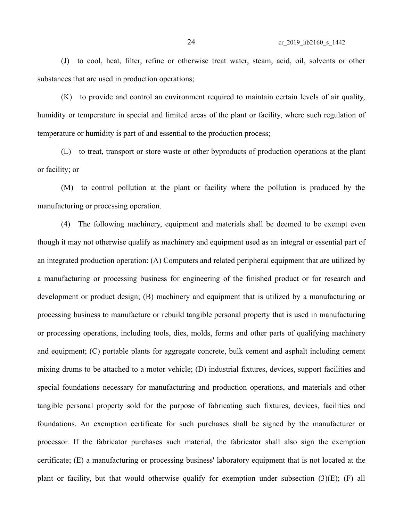(J) to cool, heat, filter, refine or otherwise treat water, steam, acid, oil, solvents or other substances that are used in production operations;

(K) to provide and control an environment required to maintain certain levels of air quality, humidity or temperature in special and limited areas of the plant or facility, where such regulation of temperature or humidity is part of and essential to the production process;

(L) to treat, transport or store waste or other byproducts of production operations at the plant or facility; or

(M) to control pollution at the plant or facility where the pollution is produced by the manufacturing or processing operation.

(4) The following machinery, equipment and materials shall be deemed to be exempt even though it may not otherwise qualify as machinery and equipment used as an integral or essential part of an integrated production operation: (A) Computers and related peripheral equipment that are utilized by a manufacturing or processing business for engineering of the finished product or for research and development or product design; (B) machinery and equipment that is utilized by a manufacturing or processing business to manufacture or rebuild tangible personal property that is used in manufacturing or processing operations, including tools, dies, molds, forms and other parts of qualifying machinery and equipment; (C) portable plants for aggregate concrete, bulk cement and asphalt including cement mixing drums to be attached to a motor vehicle; (D) industrial fixtures, devices, support facilities and special foundations necessary for manufacturing and production operations, and materials and other tangible personal property sold for the purpose of fabricating such fixtures, devices, facilities and foundations. An exemption certificate for such purchases shall be signed by the manufacturer or processor. If the fabricator purchases such material, the fabricator shall also sign the exemption certificate; (E) a manufacturing or processing business' laboratory equipment that is not located at the plant or facility, but that would otherwise qualify for exemption under subsection (3)(E); (F) all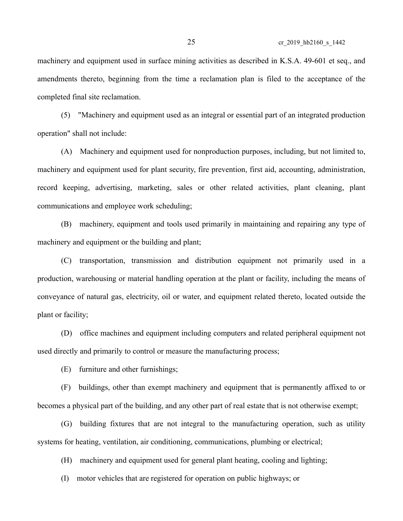machinery and equipment used in surface mining activities as described in K.S.A. 49-601 et seq., and amendments thereto, beginning from the time a reclamation plan is filed to the acceptance of the completed final site reclamation.

(5) "Machinery and equipment used as an integral or essential part of an integrated production operation" shall not include:

(A) Machinery and equipment used for nonproduction purposes, including, but not limited to, machinery and equipment used for plant security, fire prevention, first aid, accounting, administration, record keeping, advertising, marketing, sales or other related activities, plant cleaning, plant communications and employee work scheduling;

(B) machinery, equipment and tools used primarily in maintaining and repairing any type of machinery and equipment or the building and plant;

(C) transportation, transmission and distribution equipment not primarily used in a production, warehousing or material handling operation at the plant or facility, including the means of conveyance of natural gas, electricity, oil or water, and equipment related thereto, located outside the plant or facility;

(D) office machines and equipment including computers and related peripheral equipment not used directly and primarily to control or measure the manufacturing process;

(E) furniture and other furnishings;

(F) buildings, other than exempt machinery and equipment that is permanently affixed to or becomes a physical part of the building, and any other part of real estate that is not otherwise exempt;

(G) building fixtures that are not integral to the manufacturing operation, such as utility systems for heating, ventilation, air conditioning, communications, plumbing or electrical;

(H) machinery and equipment used for general plant heating, cooling and lighting;

(I) motor vehicles that are registered for operation on public highways; or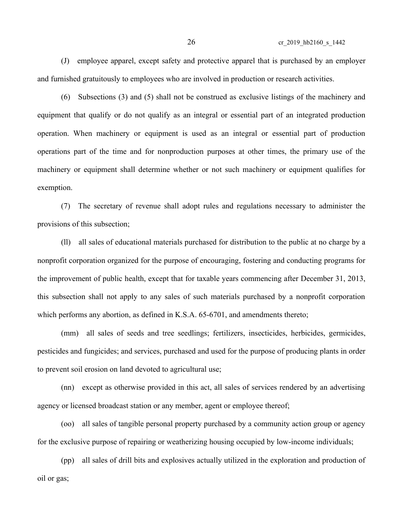(J) employee apparel, except safety and protective apparel that is purchased by an employer and furnished gratuitously to employees who are involved in production or research activities.

(6) Subsections (3) and (5) shall not be construed as exclusive listings of the machinery and equipment that qualify or do not qualify as an integral or essential part of an integrated production operation. When machinery or equipment is used as an integral or essential part of production operations part of the time and for nonproduction purposes at other times, the primary use of the machinery or equipment shall determine whether or not such machinery or equipment qualifies for exemption.

(7) The secretary of revenue shall adopt rules and regulations necessary to administer the provisions of this subsection;

(ll) all sales of educational materials purchased for distribution to the public at no charge by a nonprofit corporation organized for the purpose of encouraging, fostering and conducting programs for the improvement of public health, except that for taxable years commencing after December 31, 2013, this subsection shall not apply to any sales of such materials purchased by a nonprofit corporation which performs any abortion, as defined in K.S.A. 65-6701, and amendments thereto;

(mm) all sales of seeds and tree seedlings; fertilizers, insecticides, herbicides, germicides, pesticides and fungicides; and services, purchased and used for the purpose of producing plants in order to prevent soil erosion on land devoted to agricultural use;

(nn) except as otherwise provided in this act, all sales of services rendered by an advertising agency or licensed broadcast station or any member, agent or employee thereof;

(oo) all sales of tangible personal property purchased by a community action group or agency for the exclusive purpose of repairing or weatherizing housing occupied by low-income individuals;

(pp) all sales of drill bits and explosives actually utilized in the exploration and production of oil or gas;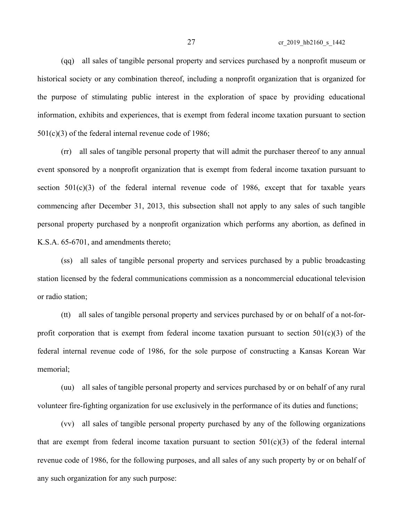27 cr\_2019\_hb2160\_s\_1442

(qq) all sales of tangible personal property and services purchased by a nonprofit museum or historical society or any combination thereof, including a nonprofit organization that is organized for the purpose of stimulating public interest in the exploration of space by providing educational information, exhibits and experiences, that is exempt from federal income taxation pursuant to section 501(c)(3) of the federal internal revenue code of 1986;

(rr) all sales of tangible personal property that will admit the purchaser thereof to any annual event sponsored by a nonprofit organization that is exempt from federal income taxation pursuant to section  $501(c)(3)$  of the federal internal revenue code of 1986, except that for taxable years commencing after December 31, 2013, this subsection shall not apply to any sales of such tangible personal property purchased by a nonprofit organization which performs any abortion, as defined in K.S.A. 65-6701, and amendments thereto;

(ss) all sales of tangible personal property and services purchased by a public broadcasting station licensed by the federal communications commission as a noncommercial educational television or radio station;

(tt) all sales of tangible personal property and services purchased by or on behalf of a not-forprofit corporation that is exempt from federal income taxation pursuant to section  $501(c)(3)$  of the federal internal revenue code of 1986, for the sole purpose of constructing a Kansas Korean War memorial;

(uu) all sales of tangible personal property and services purchased by or on behalf of any rural volunteer fire-fighting organization for use exclusively in the performance of its duties and functions;

(vv) all sales of tangible personal property purchased by any of the following organizations that are exempt from federal income taxation pursuant to section  $501(c)(3)$  of the federal internal revenue code of 1986, for the following purposes, and all sales of any such property by or on behalf of any such organization for any such purpose: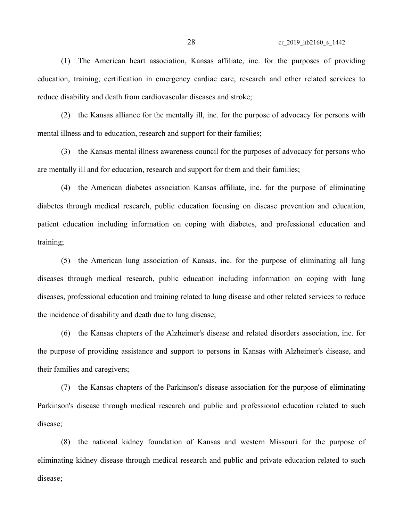(1) The American heart association, Kansas affiliate, inc. for the purposes of providing education, training, certification in emergency cardiac care, research and other related services to reduce disability and death from cardiovascular diseases and stroke;

(2) the Kansas alliance for the mentally ill, inc. for the purpose of advocacy for persons with mental illness and to education, research and support for their families;

(3) the Kansas mental illness awareness council for the purposes of advocacy for persons who are mentally ill and for education, research and support for them and their families;

(4) the American diabetes association Kansas affiliate, inc. for the purpose of eliminating diabetes through medical research, public education focusing on disease prevention and education, patient education including information on coping with diabetes, and professional education and training;

(5) the American lung association of Kansas, inc. for the purpose of eliminating all lung diseases through medical research, public education including information on coping with lung diseases, professional education and training related to lung disease and other related services to reduce the incidence of disability and death due to lung disease;

(6) the Kansas chapters of the Alzheimer's disease and related disorders association, inc. for the purpose of providing assistance and support to persons in Kansas with Alzheimer's disease, and their families and caregivers;

(7) the Kansas chapters of the Parkinson's disease association for the purpose of eliminating Parkinson's disease through medical research and public and professional education related to such disease;

(8) the national kidney foundation of Kansas and western Missouri for the purpose of eliminating kidney disease through medical research and public and private education related to such disease;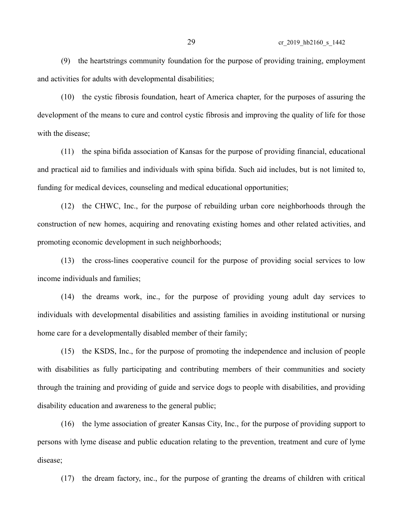(9) the heartstrings community foundation for the purpose of providing training, employment and activities for adults with developmental disabilities;

(10) the cystic fibrosis foundation, heart of America chapter, for the purposes of assuring the development of the means to cure and control cystic fibrosis and improving the quality of life for those with the disease;

(11) the spina bifida association of Kansas for the purpose of providing financial, educational and practical aid to families and individuals with spina bifida. Such aid includes, but is not limited to, funding for medical devices, counseling and medical educational opportunities;

(12) the CHWC, Inc., for the purpose of rebuilding urban core neighborhoods through the construction of new homes, acquiring and renovating existing homes and other related activities, and promoting economic development in such neighborhoods;

(13) the cross-lines cooperative council for the purpose of providing social services to low income individuals and families;

(14) the dreams work, inc., for the purpose of providing young adult day services to individuals with developmental disabilities and assisting families in avoiding institutional or nursing home care for a developmentally disabled member of their family;

(15) the KSDS, Inc., for the purpose of promoting the independence and inclusion of people with disabilities as fully participating and contributing members of their communities and society through the training and providing of guide and service dogs to people with disabilities, and providing disability education and awareness to the general public;

(16) the lyme association of greater Kansas City, Inc., for the purpose of providing support to persons with lyme disease and public education relating to the prevention, treatment and cure of lyme disease;

(17) the dream factory, inc., for the purpose of granting the dreams of children with critical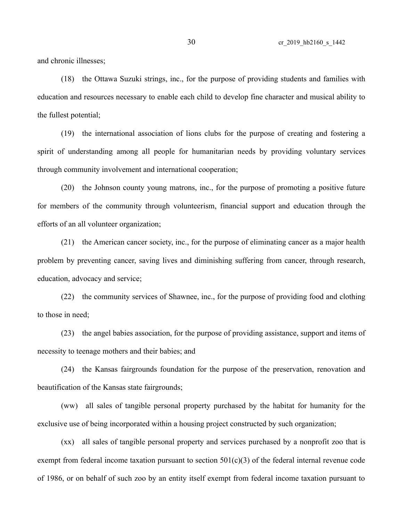and chronic illnesses;

(18) the Ottawa Suzuki strings, inc., for the purpose of providing students and families with education and resources necessary to enable each child to develop fine character and musical ability to the fullest potential;

(19) the international association of lions clubs for the purpose of creating and fostering a spirit of understanding among all people for humanitarian needs by providing voluntary services through community involvement and international cooperation;

(20) the Johnson county young matrons, inc., for the purpose of promoting a positive future for members of the community through volunteerism, financial support and education through the efforts of an all volunteer organization;

(21) the American cancer society, inc., for the purpose of eliminating cancer as a major health problem by preventing cancer, saving lives and diminishing suffering from cancer, through research, education, advocacy and service;

(22) the community services of Shawnee, inc., for the purpose of providing food and clothing to those in need;

(23) the angel babies association, for the purpose of providing assistance, support and items of necessity to teenage mothers and their babies; and

(24) the Kansas fairgrounds foundation for the purpose of the preservation, renovation and beautification of the Kansas state fairgrounds;

(ww) all sales of tangible personal property purchased by the habitat for humanity for the exclusive use of being incorporated within a housing project constructed by such organization;

(xx) all sales of tangible personal property and services purchased by a nonprofit zoo that is exempt from federal income taxation pursuant to section  $501(c)(3)$  of the federal internal revenue code of 1986, or on behalf of such zoo by an entity itself exempt from federal income taxation pursuant to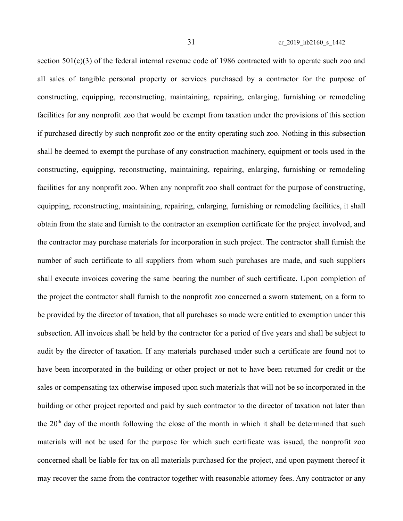section 501(c)(3) of the federal internal revenue code of 1986 contracted with to operate such zoo and all sales of tangible personal property or services purchased by a contractor for the purpose of constructing, equipping, reconstructing, maintaining, repairing, enlarging, furnishing or remodeling facilities for any nonprofit zoo that would be exempt from taxation under the provisions of this section if purchased directly by such nonprofit zoo or the entity operating such zoo. Nothing in this subsection shall be deemed to exempt the purchase of any construction machinery, equipment or tools used in the constructing, equipping, reconstructing, maintaining, repairing, enlarging, furnishing or remodeling facilities for any nonprofit zoo. When any nonprofit zoo shall contract for the purpose of constructing, equipping, reconstructing, maintaining, repairing, enlarging, furnishing or remodeling facilities, it shall obtain from the state and furnish to the contractor an exemption certificate for the project involved, and the contractor may purchase materials for incorporation in such project. The contractor shall furnish the number of such certificate to all suppliers from whom such purchases are made, and such suppliers shall execute invoices covering the same bearing the number of such certificate. Upon completion of the project the contractor shall furnish to the nonprofit zoo concerned a sworn statement, on a form to be provided by the director of taxation, that all purchases so made were entitled to exemption under this subsection. All invoices shall be held by the contractor for a period of five years and shall be subject to audit by the director of taxation. If any materials purchased under such a certificate are found not to have been incorporated in the building or other project or not to have been returned for credit or the sales or compensating tax otherwise imposed upon such materials that will not be so incorporated in the building or other project reported and paid by such contractor to the director of taxation not later than the  $20<sup>th</sup>$  day of the month following the close of the month in which it shall be determined that such materials will not be used for the purpose for which such certificate was issued, the nonprofit zoo concerned shall be liable for tax on all materials purchased for the project, and upon payment thereof it may recover the same from the contractor together with reasonable attorney fees. Any contractor or any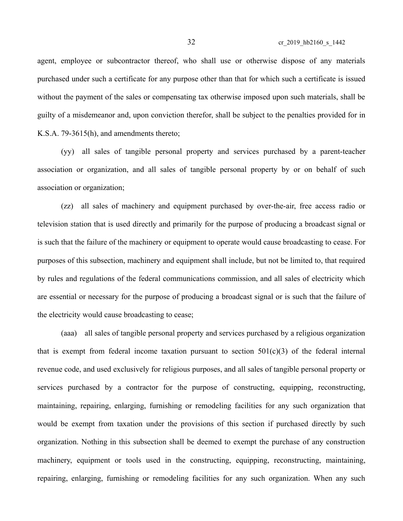agent, employee or subcontractor thereof, who shall use or otherwise dispose of any materials purchased under such a certificate for any purpose other than that for which such a certificate is issued without the payment of the sales or compensating tax otherwise imposed upon such materials, shall be guilty of a misdemeanor and, upon conviction therefor, shall be subject to the penalties provided for in K.S.A. 79-3615(h), and amendments thereto;

(yy) all sales of tangible personal property and services purchased by a parent-teacher association or organization, and all sales of tangible personal property by or on behalf of such association or organization;

(zz) all sales of machinery and equipment purchased by over-the-air, free access radio or television station that is used directly and primarily for the purpose of producing a broadcast signal or is such that the failure of the machinery or equipment to operate would cause broadcasting to cease. For purposes of this subsection, machinery and equipment shall include, but not be limited to, that required by rules and regulations of the federal communications commission, and all sales of electricity which are essential or necessary for the purpose of producing a broadcast signal or is such that the failure of the electricity would cause broadcasting to cease;

(aaa) all sales of tangible personal property and services purchased by a religious organization that is exempt from federal income taxation pursuant to section  $501(c)(3)$  of the federal internal revenue code, and used exclusively for religious purposes, and all sales of tangible personal property or services purchased by a contractor for the purpose of constructing, equipping, reconstructing, maintaining, repairing, enlarging, furnishing or remodeling facilities for any such organization that would be exempt from taxation under the provisions of this section if purchased directly by such organization. Nothing in this subsection shall be deemed to exempt the purchase of any construction machinery, equipment or tools used in the constructing, equipping, reconstructing, maintaining, repairing, enlarging, furnishing or remodeling facilities for any such organization. When any such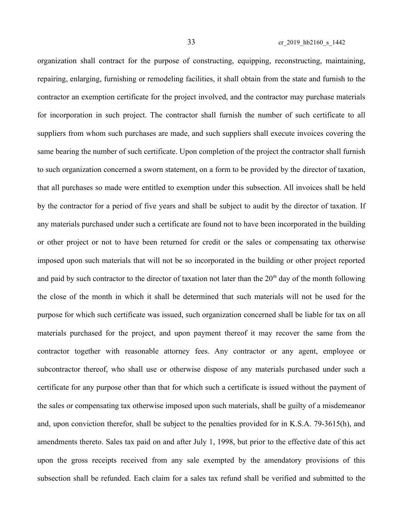organization shall contract for the purpose of constructing, equipping, reconstructing, maintaining, repairing, enlarging, furnishing or remodeling facilities, it shall obtain from the state and furnish to the contractor an exemption certificate for the project involved, and the contractor may purchase materials for incorporation in such project. The contractor shall furnish the number of such certificate to all suppliers from whom such purchases are made, and such suppliers shall execute invoices covering the same bearing the number of such certificate. Upon completion of the project the contractor shall furnish to such organization concerned a sworn statement, on a form to be provided by the director of taxation, that all purchases so made were entitled to exemption under this subsection. All invoices shall be held by the contractor for a period of five years and shall be subject to audit by the director of taxation. If any materials purchased under such a certificate are found not to have been incorporated in the building or other project or not to have been returned for credit or the sales or compensating tax otherwise imposed upon such materials that will not be so incorporated in the building or other project reported and paid by such contractor to the director of taxation not later than the  $20<sup>th</sup>$  day of the month following the close of the month in which it shall be determined that such materials will not be used for the purpose for which such certificate was issued, such organization concerned shall be liable for tax on all materials purchased for the project, and upon payment thereof it may recover the same from the contractor together with reasonable attorney fees. Any contractor or any agent, employee or subcontractor thereof, who shall use or otherwise dispose of any materials purchased under such a certificate for any purpose other than that for which such a certificate is issued without the payment of the sales or compensating tax otherwise imposed upon such materials, shall be guilty of a misdemeanor and, upon conviction therefor, shall be subject to the penalties provided for in K.S.A. 79-3615(h), and amendments thereto. Sales tax paid on and after July 1, 1998, but prior to the effective date of this act upon the gross receipts received from any sale exempted by the amendatory provisions of this subsection shall be refunded. Each claim for a sales tax refund shall be verified and submitted to the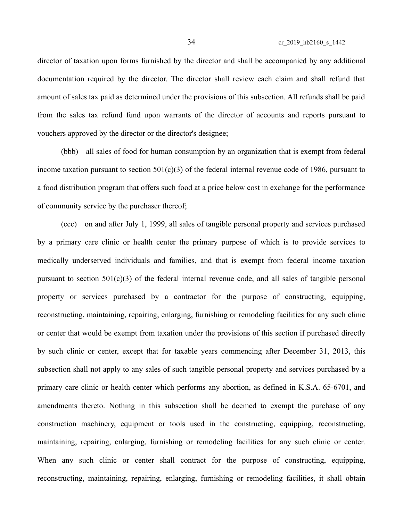director of taxation upon forms furnished by the director and shall be accompanied by any additional documentation required by the director. The director shall review each claim and shall refund that amount of sales tax paid as determined under the provisions of this subsection. All refunds shall be paid from the sales tax refund fund upon warrants of the director of accounts and reports pursuant to vouchers approved by the director or the director's designee;

(bbb) all sales of food for human consumption by an organization that is exempt from federal income taxation pursuant to section  $501(c)(3)$  of the federal internal revenue code of 1986, pursuant to a food distribution program that offers such food at a price below cost in exchange for the performance of community service by the purchaser thereof;

(ccc) on and after July 1, 1999, all sales of tangible personal property and services purchased by a primary care clinic or health center the primary purpose of which is to provide services to medically underserved individuals and families, and that is exempt from federal income taxation pursuant to section 501(c)(3) of the federal internal revenue code, and all sales of tangible personal property or services purchased by a contractor for the purpose of constructing, equipping, reconstructing, maintaining, repairing, enlarging, furnishing or remodeling facilities for any such clinic or center that would be exempt from taxation under the provisions of this section if purchased directly by such clinic or center, except that for taxable years commencing after December 31, 2013, this subsection shall not apply to any sales of such tangible personal property and services purchased by a primary care clinic or health center which performs any abortion, as defined in K.S.A. 65-6701, and amendments thereto. Nothing in this subsection shall be deemed to exempt the purchase of any construction machinery, equipment or tools used in the constructing, equipping, reconstructing, maintaining, repairing, enlarging, furnishing or remodeling facilities for any such clinic or center. When any such clinic or center shall contract for the purpose of constructing, equipping, reconstructing, maintaining, repairing, enlarging, furnishing or remodeling facilities, it shall obtain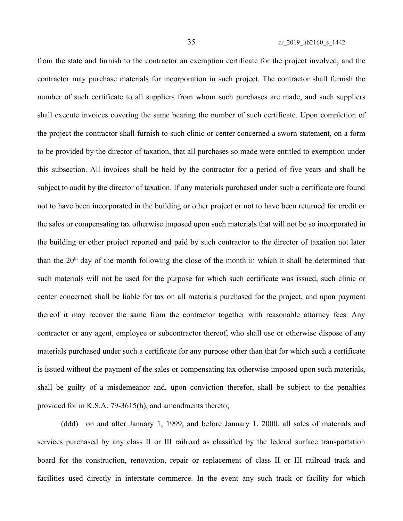from the state and furnish to the contractor an exemption certificate for the project involved, and the contractor may purchase materials for incorporation in such project. The contractor shall furnish the number of such certificate to all suppliers from whom such purchases are made, and such suppliers shall execute invoices covering the same bearing the number of such certificate. Upon completion of the project the contractor shall furnish to such clinic or center concerned a sworn statement, on a form to be provided by the director of taxation, that all purchases so made were entitled to exemption under this subsection. All invoices shall be held by the contractor for a period of five years and shall be subject to audit by the director of taxation. If any materials purchased under such a certificate are found not to have been incorporated in the building or other project or not to have been returned for credit or the sales or compensating tax otherwise imposed upon such materials that will not be so incorporated in the building or other project reported and paid by such contractor to the director of taxation not later than the  $20<sup>th</sup>$  day of the month following the close of the month in which it shall be determined that such materials will not be used for the purpose for which such certificate was issued, such clinic or center concerned shall be liable for tax on all materials purchased for the project, and upon payment thereof it may recover the same from the contractor together with reasonable attorney fees. Any contractor or any agent, employee or subcontractor thereof, who shall use or otherwise dispose of any materials purchased under such a certificate for any purpose other than that for which such a certificate is issued without the payment of the sales or compensating tax otherwise imposed upon such materials, shall be guilty of a misdemeanor and, upon conviction therefor, shall be subject to the penalties provided for in K.S.A. 79-3615(h), and amendments thereto;

(ddd) on and after January 1, 1999, and before January 1, 2000, all sales of materials and services purchased by any class II or III railroad as classified by the federal surface transportation board for the construction, renovation, repair or replacement of class II or III railroad track and facilities used directly in interstate commerce. In the event any such track or facility for which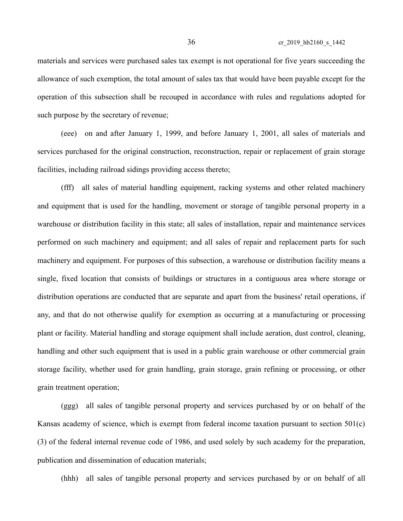materials and services were purchased sales tax exempt is not operational for five years succeeding the allowance of such exemption, the total amount of sales tax that would have been payable except for the operation of this subsection shall be recouped in accordance with rules and regulations adopted for such purpose by the secretary of revenue;

(eee) on and after January 1, 1999, and before January 1, 2001, all sales of materials and services purchased for the original construction, reconstruction, repair or replacement of grain storage facilities, including railroad sidings providing access thereto;

(fff) all sales of material handling equipment, racking systems and other related machinery and equipment that is used for the handling, movement or storage of tangible personal property in a warehouse or distribution facility in this state; all sales of installation, repair and maintenance services performed on such machinery and equipment; and all sales of repair and replacement parts for such machinery and equipment. For purposes of this subsection, a warehouse or distribution facility means a single, fixed location that consists of buildings or structures in a contiguous area where storage or distribution operations are conducted that are separate and apart from the business' retail operations, if any, and that do not otherwise qualify for exemption as occurring at a manufacturing or processing plant or facility. Material handling and storage equipment shall include aeration, dust control, cleaning, handling and other such equipment that is used in a public grain warehouse or other commercial grain storage facility, whether used for grain handling, grain storage, grain refining or processing, or other grain treatment operation;

(ggg) all sales of tangible personal property and services purchased by or on behalf of the Kansas academy of science, which is exempt from federal income taxation pursuant to section 501(c) (3) of the federal internal revenue code of 1986, and used solely by such academy for the preparation, publication and dissemination of education materials;

(hhh) all sales of tangible personal property and services purchased by or on behalf of all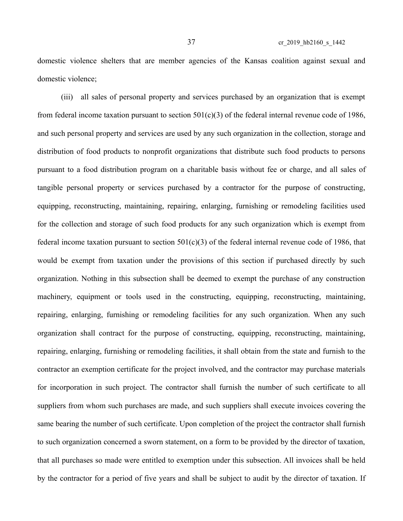domestic violence shelters that are member agencies of the Kansas coalition against sexual and domestic violence;

(iii) all sales of personal property and services purchased by an organization that is exempt from federal income taxation pursuant to section  $501(c)(3)$  of the federal internal revenue code of 1986, and such personal property and services are used by any such organization in the collection, storage and distribution of food products to nonprofit organizations that distribute such food products to persons pursuant to a food distribution program on a charitable basis without fee or charge, and all sales of tangible personal property or services purchased by a contractor for the purpose of constructing, equipping, reconstructing, maintaining, repairing, enlarging, furnishing or remodeling facilities used for the collection and storage of such food products for any such organization which is exempt from federal income taxation pursuant to section  $501(c)(3)$  of the federal internal revenue code of 1986, that would be exempt from taxation under the provisions of this section if purchased directly by such organization. Nothing in this subsection shall be deemed to exempt the purchase of any construction machinery, equipment or tools used in the constructing, equipping, reconstructing, maintaining, repairing, enlarging, furnishing or remodeling facilities for any such organization. When any such organization shall contract for the purpose of constructing, equipping, reconstructing, maintaining, repairing, enlarging, furnishing or remodeling facilities, it shall obtain from the state and furnish to the contractor an exemption certificate for the project involved, and the contractor may purchase materials for incorporation in such project. The contractor shall furnish the number of such certificate to all suppliers from whom such purchases are made, and such suppliers shall execute invoices covering the same bearing the number of such certificate. Upon completion of the project the contractor shall furnish to such organization concerned a sworn statement, on a form to be provided by the director of taxation, that all purchases so made were entitled to exemption under this subsection. All invoices shall be held by the contractor for a period of five years and shall be subject to audit by the director of taxation. If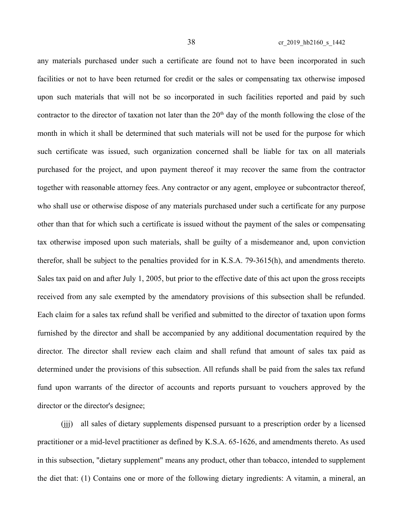any materials purchased under such a certificate are found not to have been incorporated in such facilities or not to have been returned for credit or the sales or compensating tax otherwise imposed upon such materials that will not be so incorporated in such facilities reported and paid by such contractor to the director of taxation not later than the  $20<sup>th</sup>$  day of the month following the close of the month in which it shall be determined that such materials will not be used for the purpose for which such certificate was issued, such organization concerned shall be liable for tax on all materials purchased for the project, and upon payment thereof it may recover the same from the contractor together with reasonable attorney fees. Any contractor or any agent, employee or subcontractor thereof, who shall use or otherwise dispose of any materials purchased under such a certificate for any purpose other than that for which such a certificate is issued without the payment of the sales or compensating tax otherwise imposed upon such materials, shall be guilty of a misdemeanor and, upon conviction therefor, shall be subject to the penalties provided for in K.S.A. 79-3615(h), and amendments thereto. Sales tax paid on and after July 1, 2005, but prior to the effective date of this act upon the gross receipts received from any sale exempted by the amendatory provisions of this subsection shall be refunded. Each claim for a sales tax refund shall be verified and submitted to the director of taxation upon forms furnished by the director and shall be accompanied by any additional documentation required by the director. The director shall review each claim and shall refund that amount of sales tax paid as determined under the provisions of this subsection. All refunds shall be paid from the sales tax refund fund upon warrants of the director of accounts and reports pursuant to vouchers approved by the director or the director's designee;

(jjj) all sales of dietary supplements dispensed pursuant to a prescription order by a licensed practitioner or a mid-level practitioner as defined by K.S.A. 65-1626, and amendments thereto. As used in this subsection, "dietary supplement" means any product, other than tobacco, intended to supplement the diet that: (1) Contains one or more of the following dietary ingredients: A vitamin, a mineral, an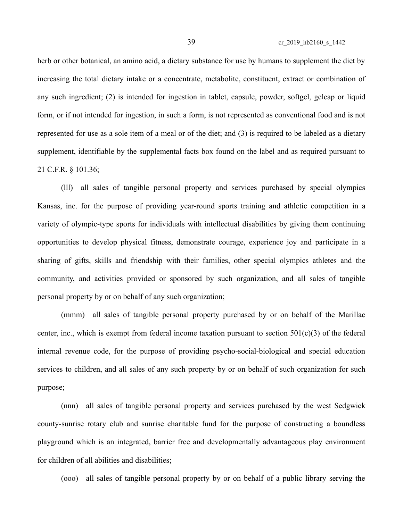39 cr\_2019\_hb2160\_s\_1442

herb or other botanical, an amino acid, a dietary substance for use by humans to supplement the diet by increasing the total dietary intake or a concentrate, metabolite, constituent, extract or combination of any such ingredient; (2) is intended for ingestion in tablet, capsule, powder, softgel, gelcap or liquid form, or if not intended for ingestion, in such a form, is not represented as conventional food and is not represented for use as a sole item of a meal or of the diet; and (3) is required to be labeled as a dietary supplement, identifiable by the supplemental facts box found on the label and as required pursuant to

21 C.F.R. § 101.36;

(lll) all sales of tangible personal property and services purchased by special olympics Kansas, inc. for the purpose of providing year-round sports training and athletic competition in a variety of olympic-type sports for individuals with intellectual disabilities by giving them continuing opportunities to develop physical fitness, demonstrate courage, experience joy and participate in a sharing of gifts, skills and friendship with their families, other special olympics athletes and the community, and activities provided or sponsored by such organization, and all sales of tangible personal property by or on behalf of any such organization;

(mmm) all sales of tangible personal property purchased by or on behalf of the Marillac center, inc., which is exempt from federal income taxation pursuant to section  $501(c)(3)$  of the federal internal revenue code, for the purpose of providing psycho-social-biological and special education services to children, and all sales of any such property by or on behalf of such organization for such purpose;

(nnn) all sales of tangible personal property and services purchased by the west Sedgwick county-sunrise rotary club and sunrise charitable fund for the purpose of constructing a boundless playground which is an integrated, barrier free and developmentally advantageous play environment for children of all abilities and disabilities;

(ooo) all sales of tangible personal property by or on behalf of a public library serving the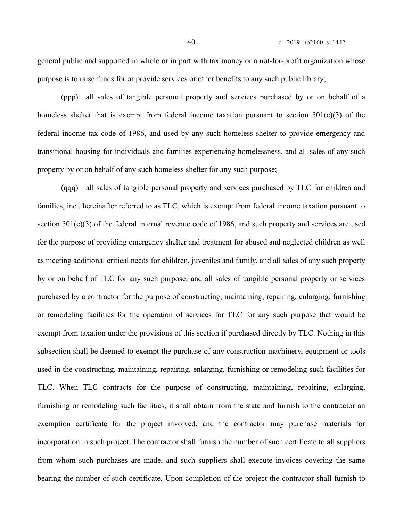general public and supported in whole or in part with tax money or a not-for-profit organization whose purpose is to raise funds for or provide services or other benefits to any such public library;

(ppp) all sales of tangible personal property and services purchased by or on behalf of a homeless shelter that is exempt from federal income taxation pursuant to section  $501(c)(3)$  of the federal income tax code of 1986, and used by any such homeless shelter to provide emergency and transitional housing for individuals and families experiencing homelessness, and all sales of any such property by or on behalf of any such homeless shelter for any such purpose;

(qqq) all sales of tangible personal property and services purchased by TLC for children and families, inc., hereinafter referred to as TLC, which is exempt from federal income taxation pursuant to section 501(c)(3) of the federal internal revenue code of 1986, and such property and services are used for the purpose of providing emergency shelter and treatment for abused and neglected children as well as meeting additional critical needs for children, juveniles and family, and all sales of any such property by or on behalf of TLC for any such purpose; and all sales of tangible personal property or services purchased by a contractor for the purpose of constructing, maintaining, repairing, enlarging, furnishing or remodeling facilities for the operation of services for TLC for any such purpose that would be exempt from taxation under the provisions of this section if purchased directly by TLC. Nothing in this subsection shall be deemed to exempt the purchase of any construction machinery, equipment or tools used in the constructing, maintaining, repairing, enlarging, furnishing or remodeling such facilities for TLC. When TLC contracts for the purpose of constructing, maintaining, repairing, enlarging, furnishing or remodeling such facilities, it shall obtain from the state and furnish to the contractor an exemption certificate for the project involved, and the contractor may purchase materials for incorporation in such project. The contractor shall furnish the number of such certificate to all suppliers from whom such purchases are made, and such suppliers shall execute invoices covering the same bearing the number of such certificate. Upon completion of the project the contractor shall furnish to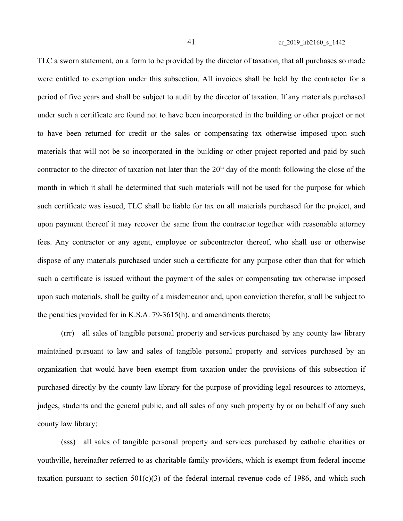TLC a sworn statement, on a form to be provided by the director of taxation, that all purchases so made were entitled to exemption under this subsection. All invoices shall be held by the contractor for a period of five years and shall be subject to audit by the director of taxation. If any materials purchased under such a certificate are found not to have been incorporated in the building or other project or not to have been returned for credit or the sales or compensating tax otherwise imposed upon such materials that will not be so incorporated in the building or other project reported and paid by such contractor to the director of taxation not later than the  $20<sup>th</sup>$  day of the month following the close of the month in which it shall be determined that such materials will not be used for the purpose for which such certificate was issued, TLC shall be liable for tax on all materials purchased for the project, and upon payment thereof it may recover the same from the contractor together with reasonable attorney fees. Any contractor or any agent, employee or subcontractor thereof, who shall use or otherwise dispose of any materials purchased under such a certificate for any purpose other than that for which such a certificate is issued without the payment of the sales or compensating tax otherwise imposed upon such materials, shall be guilty of a misdemeanor and, upon conviction therefor, shall be subject to the penalties provided for in K.S.A. 79-3615(h), and amendments thereto;

(rrr) all sales of tangible personal property and services purchased by any county law library maintained pursuant to law and sales of tangible personal property and services purchased by an organization that would have been exempt from taxation under the provisions of this subsection if purchased directly by the county law library for the purpose of providing legal resources to attorneys, judges, students and the general public, and all sales of any such property by or on behalf of any such county law library;

(sss) all sales of tangible personal property and services purchased by catholic charities or youthville, hereinafter referred to as charitable family providers, which is exempt from federal income taxation pursuant to section  $501(c)(3)$  of the federal internal revenue code of 1986, and which such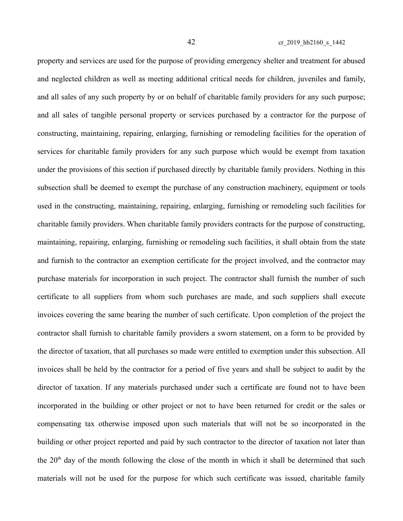property and services are used for the purpose of providing emergency shelter and treatment for abused and neglected children as well as meeting additional critical needs for children, juveniles and family, and all sales of any such property by or on behalf of charitable family providers for any such purpose; and all sales of tangible personal property or services purchased by a contractor for the purpose of constructing, maintaining, repairing, enlarging, furnishing or remodeling facilities for the operation of services for charitable family providers for any such purpose which would be exempt from taxation under the provisions of this section if purchased directly by charitable family providers. Nothing in this subsection shall be deemed to exempt the purchase of any construction machinery, equipment or tools used in the constructing, maintaining, repairing, enlarging, furnishing or remodeling such facilities for charitable family providers. When charitable family providers contracts for the purpose of constructing, maintaining, repairing, enlarging, furnishing or remodeling such facilities, it shall obtain from the state and furnish to the contractor an exemption certificate for the project involved, and the contractor may purchase materials for incorporation in such project. The contractor shall furnish the number of such certificate to all suppliers from whom such purchases are made, and such suppliers shall execute invoices covering the same bearing the number of such certificate. Upon completion of the project the contractor shall furnish to charitable family providers a sworn statement, on a form to be provided by the director of taxation, that all purchases so made were entitled to exemption under this subsection. All invoices shall be held by the contractor for a period of five years and shall be subject to audit by the director of taxation. If any materials purchased under such a certificate are found not to have been incorporated in the building or other project or not to have been returned for credit or the sales or compensating tax otherwise imposed upon such materials that will not be so incorporated in the building or other project reported and paid by such contractor to the director of taxation not later than the  $20<sup>th</sup>$  day of the month following the close of the month in which it shall be determined that such materials will not be used for the purpose for which such certificate was issued, charitable family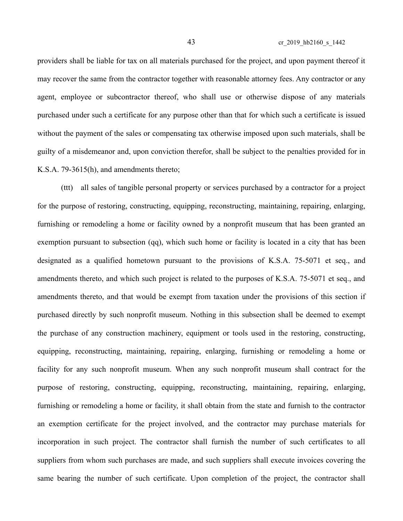providers shall be liable for tax on all materials purchased for the project, and upon payment thereof it may recover the same from the contractor together with reasonable attorney fees. Any contractor or any agent, employee or subcontractor thereof, who shall use or otherwise dispose of any materials purchased under such a certificate for any purpose other than that for which such a certificate is issued without the payment of the sales or compensating tax otherwise imposed upon such materials, shall be guilty of a misdemeanor and, upon conviction therefor, shall be subject to the penalties provided for in K.S.A. 79-3615(h), and amendments thereto;

(ttt) all sales of tangible personal property or services purchased by a contractor for a project for the purpose of restoring, constructing, equipping, reconstructing, maintaining, repairing, enlarging, furnishing or remodeling a home or facility owned by a nonprofit museum that has been granted an exemption pursuant to subsection (qq), which such home or facility is located in a city that has been designated as a qualified hometown pursuant to the provisions of K.S.A. 75-5071 et seq., and amendments thereto, and which such project is related to the purposes of K.S.A. 75-5071 et seq., and amendments thereto, and that would be exempt from taxation under the provisions of this section if purchased directly by such nonprofit museum. Nothing in this subsection shall be deemed to exempt the purchase of any construction machinery, equipment or tools used in the restoring, constructing, equipping, reconstructing, maintaining, repairing, enlarging, furnishing or remodeling a home or facility for any such nonprofit museum. When any such nonprofit museum shall contract for the purpose of restoring, constructing, equipping, reconstructing, maintaining, repairing, enlarging, furnishing or remodeling a home or facility, it shall obtain from the state and furnish to the contractor an exemption certificate for the project involved, and the contractor may purchase materials for incorporation in such project. The contractor shall furnish the number of such certificates to all suppliers from whom such purchases are made, and such suppliers shall execute invoices covering the same bearing the number of such certificate. Upon completion of the project, the contractor shall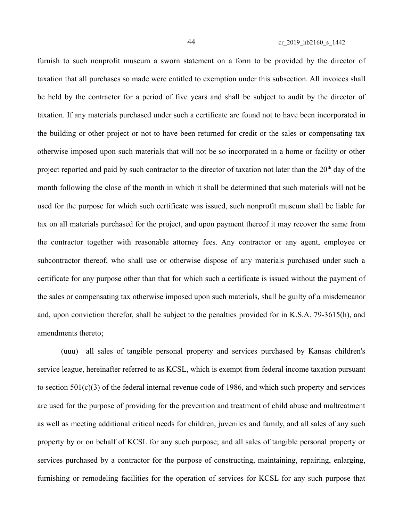furnish to such nonprofit museum a sworn statement on a form to be provided by the director of taxation that all purchases so made were entitled to exemption under this subsection. All invoices shall be held by the contractor for a period of five years and shall be subject to audit by the director of taxation. If any materials purchased under such a certificate are found not to have been incorporated in the building or other project or not to have been returned for credit or the sales or compensating tax otherwise imposed upon such materials that will not be so incorporated in a home or facility or other project reported and paid by such contractor to the director of taxation not later than the  $20<sup>th</sup>$  day of the month following the close of the month in which it shall be determined that such materials will not be used for the purpose for which such certificate was issued, such nonprofit museum shall be liable for tax on all materials purchased for the project, and upon payment thereof it may recover the same from the contractor together with reasonable attorney fees. Any contractor or any agent, employee or subcontractor thereof, who shall use or otherwise dispose of any materials purchased under such a certificate for any purpose other than that for which such a certificate is issued without the payment of the sales or compensating tax otherwise imposed upon such materials, shall be guilty of a misdemeanor and, upon conviction therefor, shall be subject to the penalties provided for in K.S.A. 79-3615(h), and amendments thereto;

(uuu) all sales of tangible personal property and services purchased by Kansas children's service league, hereinafter referred to as KCSL, which is exempt from federal income taxation pursuant to section 501(c)(3) of the federal internal revenue code of 1986, and which such property and services are used for the purpose of providing for the prevention and treatment of child abuse and maltreatment as well as meeting additional critical needs for children, juveniles and family, and all sales of any such property by or on behalf of KCSL for any such purpose; and all sales of tangible personal property or services purchased by a contractor for the purpose of constructing, maintaining, repairing, enlarging, furnishing or remodeling facilities for the operation of services for KCSL for any such purpose that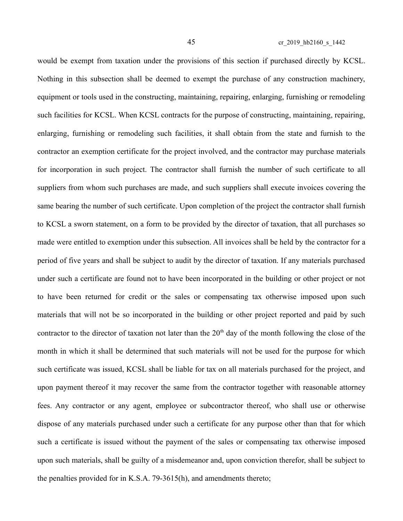would be exempt from taxation under the provisions of this section if purchased directly by KCSL. Nothing in this subsection shall be deemed to exempt the purchase of any construction machinery, equipment or tools used in the constructing, maintaining, repairing, enlarging, furnishing or remodeling such facilities for KCSL. When KCSL contracts for the purpose of constructing, maintaining, repairing, enlarging, furnishing or remodeling such facilities, it shall obtain from the state and furnish to the contractor an exemption certificate for the project involved, and the contractor may purchase materials for incorporation in such project. The contractor shall furnish the number of such certificate to all suppliers from whom such purchases are made, and such suppliers shall execute invoices covering the same bearing the number of such certificate. Upon completion of the project the contractor shall furnish to KCSL a sworn statement, on a form to be provided by the director of taxation, that all purchases so made were entitled to exemption under this subsection. All invoices shall be held by the contractor for a period of five years and shall be subject to audit by the director of taxation. If any materials purchased under such a certificate are found not to have been incorporated in the building or other project or not to have been returned for credit or the sales or compensating tax otherwise imposed upon such materials that will not be so incorporated in the building or other project reported and paid by such contractor to the director of taxation not later than the  $20<sup>th</sup>$  day of the month following the close of the month in which it shall be determined that such materials will not be used for the purpose for which such certificate was issued, KCSL shall be liable for tax on all materials purchased for the project, and upon payment thereof it may recover the same from the contractor together with reasonable attorney fees. Any contractor or any agent, employee or subcontractor thereof, who shall use or otherwise dispose of any materials purchased under such a certificate for any purpose other than that for which such a certificate is issued without the payment of the sales or compensating tax otherwise imposed upon such materials, shall be guilty of a misdemeanor and, upon conviction therefor, shall be subject to the penalties provided for in K.S.A. 79-3615(h), and amendments thereto;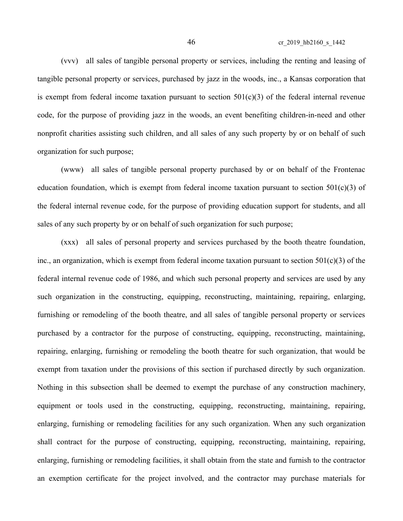(vvv) all sales of tangible personal property or services, including the renting and leasing of tangible personal property or services, purchased by jazz in the woods, inc., a Kansas corporation that is exempt from federal income taxation pursuant to section  $501(c)(3)$  of the federal internal revenue code, for the purpose of providing jazz in the woods, an event benefiting children-in-need and other nonprofit charities assisting such children, and all sales of any such property by or on behalf of such organization for such purpose;

(www) all sales of tangible personal property purchased by or on behalf of the Frontenac education foundation, which is exempt from federal income taxation pursuant to section  $501(c)(3)$  of the federal internal revenue code, for the purpose of providing education support for students, and all sales of any such property by or on behalf of such organization for such purpose;

(xxx) all sales of personal property and services purchased by the booth theatre foundation, inc., an organization, which is exempt from federal income taxation pursuant to section 501(c)(3) of the federal internal revenue code of 1986, and which such personal property and services are used by any such organization in the constructing, equipping, reconstructing, maintaining, repairing, enlarging, furnishing or remodeling of the booth theatre, and all sales of tangible personal property or services purchased by a contractor for the purpose of constructing, equipping, reconstructing, maintaining, repairing, enlarging, furnishing or remodeling the booth theatre for such organization, that would be exempt from taxation under the provisions of this section if purchased directly by such organization. Nothing in this subsection shall be deemed to exempt the purchase of any construction machinery, equipment or tools used in the constructing, equipping, reconstructing, maintaining, repairing, enlarging, furnishing or remodeling facilities for any such organization. When any such organization shall contract for the purpose of constructing, equipping, reconstructing, maintaining, repairing, enlarging, furnishing or remodeling facilities, it shall obtain from the state and furnish to the contractor an exemption certificate for the project involved, and the contractor may purchase materials for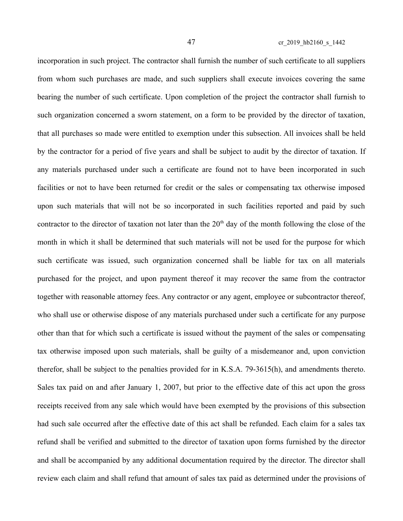incorporation in such project. The contractor shall furnish the number of such certificate to all suppliers from whom such purchases are made, and such suppliers shall execute invoices covering the same bearing the number of such certificate. Upon completion of the project the contractor shall furnish to such organization concerned a sworn statement, on a form to be provided by the director of taxation, that all purchases so made were entitled to exemption under this subsection. All invoices shall be held by the contractor for a period of five years and shall be subject to audit by the director of taxation. If any materials purchased under such a certificate are found not to have been incorporated in such facilities or not to have been returned for credit or the sales or compensating tax otherwise imposed upon such materials that will not be so incorporated in such facilities reported and paid by such contractor to the director of taxation not later than the  $20<sup>th</sup>$  day of the month following the close of the month in which it shall be determined that such materials will not be used for the purpose for which such certificate was issued, such organization concerned shall be liable for tax on all materials purchased for the project, and upon payment thereof it may recover the same from the contractor together with reasonable attorney fees. Any contractor or any agent, employee or subcontractor thereof, who shall use or otherwise dispose of any materials purchased under such a certificate for any purpose other than that for which such a certificate is issued without the payment of the sales or compensating tax otherwise imposed upon such materials, shall be guilty of a misdemeanor and, upon conviction therefor, shall be subject to the penalties provided for in K.S.A. 79-3615(h), and amendments thereto. Sales tax paid on and after January 1, 2007, but prior to the effective date of this act upon the gross receipts received from any sale which would have been exempted by the provisions of this subsection had such sale occurred after the effective date of this act shall be refunded. Each claim for a sales tax refund shall be verified and submitted to the director of taxation upon forms furnished by the director and shall be accompanied by any additional documentation required by the director. The director shall review each claim and shall refund that amount of sales tax paid as determined under the provisions of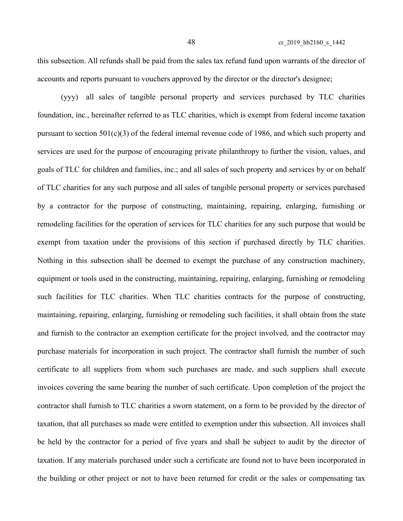this subsection. All refunds shall be paid from the sales tax refund fund upon warrants of the director of accounts and reports pursuant to vouchers approved by the director or the director's designee;

(yyy) all sales of tangible personal property and services purchased by TLC charities foundation, inc., hereinafter referred to as TLC charities, which is exempt from federal income taxation pursuant to section  $501(c)(3)$  of the federal internal revenue code of 1986, and which such property and services are used for the purpose of encouraging private philanthropy to further the vision, values, and goals of TLC for children and families, inc.; and all sales of such property and services by or on behalf of TLC charities for any such purpose and all sales of tangible personal property or services purchased by a contractor for the purpose of constructing, maintaining, repairing, enlarging, furnishing or remodeling facilities for the operation of services for TLC charities for any such purpose that would be exempt from taxation under the provisions of this section if purchased directly by TLC charities. Nothing in this subsection shall be deemed to exempt the purchase of any construction machinery, equipment or tools used in the constructing, maintaining, repairing, enlarging, furnishing or remodeling such facilities for TLC charities. When TLC charities contracts for the purpose of constructing, maintaining, repairing, enlarging, furnishing or remodeling such facilities, it shall obtain from the state and furnish to the contractor an exemption certificate for the project involved, and the contractor may purchase materials for incorporation in such project. The contractor shall furnish the number of such certificate to all suppliers from whom such purchases are made, and such suppliers shall execute invoices covering the same bearing the number of such certificate. Upon completion of the project the contractor shall furnish to TLC charities a sworn statement, on a form to be provided by the director of taxation, that all purchases so made were entitled to exemption under this subsection. All invoices shall be held by the contractor for a period of five years and shall be subject to audit by the director of taxation. If any materials purchased under such a certificate are found not to have been incorporated in the building or other project or not to have been returned for credit or the sales or compensating tax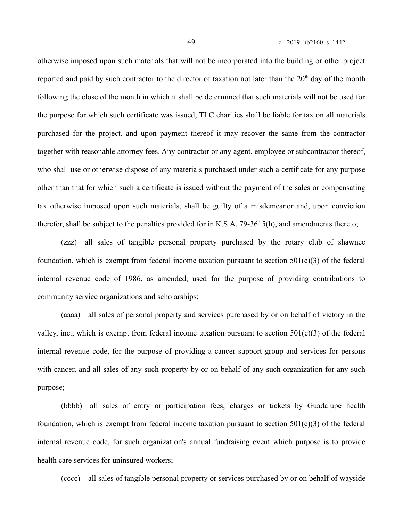49 cr\_2019\_hb2160\_s\_1442

otherwise imposed upon such materials that will not be incorporated into the building or other project reported and paid by such contractor to the director of taxation not later than the  $20<sup>th</sup>$  day of the month following the close of the month in which it shall be determined that such materials will not be used for the purpose for which such certificate was issued, TLC charities shall be liable for tax on all materials purchased for the project, and upon payment thereof it may recover the same from the contractor together with reasonable attorney fees. Any contractor or any agent, employee or subcontractor thereof, who shall use or otherwise dispose of any materials purchased under such a certificate for any purpose other than that for which such a certificate is issued without the payment of the sales or compensating tax otherwise imposed upon such materials, shall be guilty of a misdemeanor and, upon conviction therefor, shall be subject to the penalties provided for in K.S.A. 79-3615(h), and amendments thereto;

(zzz) all sales of tangible personal property purchased by the rotary club of shawnee foundation, which is exempt from federal income taxation pursuant to section  $501(c)(3)$  of the federal internal revenue code of 1986, as amended, used for the purpose of providing contributions to community service organizations and scholarships;

(aaaa) all sales of personal property and services purchased by or on behalf of victory in the valley, inc., which is exempt from federal income taxation pursuant to section  $501(c)(3)$  of the federal internal revenue code, for the purpose of providing a cancer support group and services for persons with cancer, and all sales of any such property by or on behalf of any such organization for any such purpose;

(bbbb) all sales of entry or participation fees, charges or tickets by Guadalupe health foundation, which is exempt from federal income taxation pursuant to section  $501(c)(3)$  of the federal internal revenue code, for such organization's annual fundraising event which purpose is to provide health care services for uninsured workers;

(cccc) all sales of tangible personal property or services purchased by or on behalf of wayside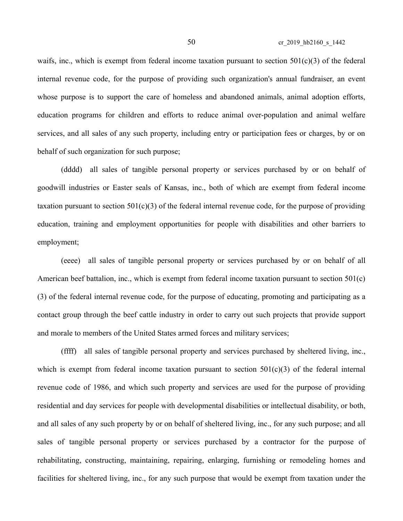waifs, inc., which is exempt from federal income taxation pursuant to section  $501(c)(3)$  of the federal internal revenue code, for the purpose of providing such organization's annual fundraiser, an event whose purpose is to support the care of homeless and abandoned animals, animal adoption efforts, education programs for children and efforts to reduce animal over-population and animal welfare services, and all sales of any such property, including entry or participation fees or charges, by or on behalf of such organization for such purpose;

(dddd) all sales of tangible personal property or services purchased by or on behalf of goodwill industries or Easter seals of Kansas, inc., both of which are exempt from federal income taxation pursuant to section  $501(c)(3)$  of the federal internal revenue code, for the purpose of providing education, training and employment opportunities for people with disabilities and other barriers to employment;

(eeee) all sales of tangible personal property or services purchased by or on behalf of all American beef battalion, inc., which is exempt from federal income taxation pursuant to section 501(c) (3) of the federal internal revenue code, for the purpose of educating, promoting and participating as a contact group through the beef cattle industry in order to carry out such projects that provide support and morale to members of the United States armed forces and military services;

(ffff) all sales of tangible personal property and services purchased by sheltered living, inc., which is exempt from federal income taxation pursuant to section  $501(c)(3)$  of the federal internal revenue code of 1986, and which such property and services are used for the purpose of providing residential and day services for people with developmental disabilities or intellectual disability, or both, and all sales of any such property by or on behalf of sheltered living, inc., for any such purpose; and all sales of tangible personal property or services purchased by a contractor for the purpose of rehabilitating, constructing, maintaining, repairing, enlarging, furnishing or remodeling homes and facilities for sheltered living, inc., for any such purpose that would be exempt from taxation under the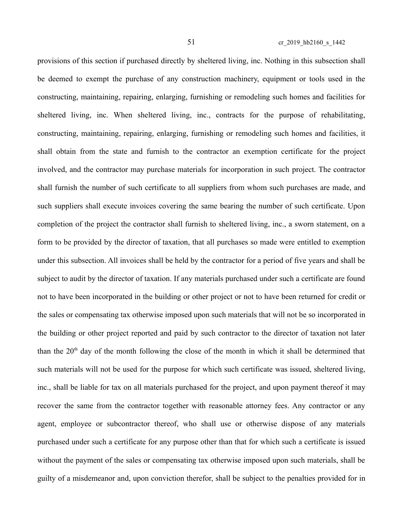provisions of this section if purchased directly by sheltered living, inc. Nothing in this subsection shall be deemed to exempt the purchase of any construction machinery, equipment or tools used in the constructing, maintaining, repairing, enlarging, furnishing or remodeling such homes and facilities for sheltered living, inc. When sheltered living, inc., contracts for the purpose of rehabilitating, constructing, maintaining, repairing, enlarging, furnishing or remodeling such homes and facilities, it shall obtain from the state and furnish to the contractor an exemption certificate for the project involved, and the contractor may purchase materials for incorporation in such project. The contractor shall furnish the number of such certificate to all suppliers from whom such purchases are made, and such suppliers shall execute invoices covering the same bearing the number of such certificate. Upon completion of the project the contractor shall furnish to sheltered living, inc., a sworn statement, on a form to be provided by the director of taxation, that all purchases so made were entitled to exemption under this subsection. All invoices shall be held by the contractor for a period of five years and shall be subject to audit by the director of taxation. If any materials purchased under such a certificate are found not to have been incorporated in the building or other project or not to have been returned for credit or the sales or compensating tax otherwise imposed upon such materials that will not be so incorporated in the building or other project reported and paid by such contractor to the director of taxation not later than the  $20<sup>th</sup>$  day of the month following the close of the month in which it shall be determined that such materials will not be used for the purpose for which such certificate was issued, sheltered living, inc., shall be liable for tax on all materials purchased for the project, and upon payment thereof it may recover the same from the contractor together with reasonable attorney fees. Any contractor or any agent, employee or subcontractor thereof, who shall use or otherwise dispose of any materials purchased under such a certificate for any purpose other than that for which such a certificate is issued without the payment of the sales or compensating tax otherwise imposed upon such materials, shall be guilty of a misdemeanor and, upon conviction therefor, shall be subject to the penalties provided for in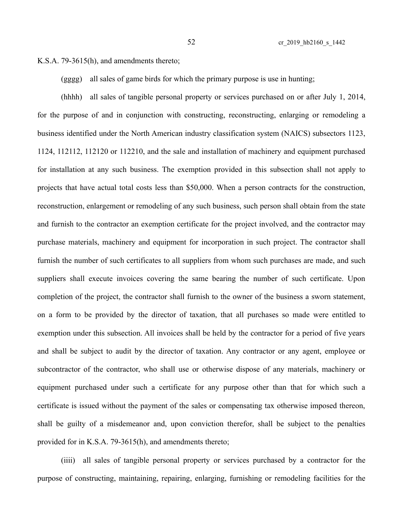K.S.A. 79-3615(h), and amendments thereto;

(gggg) all sales of game birds for which the primary purpose is use in hunting;

(hhhh) all sales of tangible personal property or services purchased on or after July 1, 2014, for the purpose of and in conjunction with constructing, reconstructing, enlarging or remodeling a business identified under the North American industry classification system (NAICS) subsectors 1123, 1124, 112112, 112120 or 112210, and the sale and installation of machinery and equipment purchased for installation at any such business. The exemption provided in this subsection shall not apply to projects that have actual total costs less than \$50,000. When a person contracts for the construction, reconstruction, enlargement or remodeling of any such business, such person shall obtain from the state and furnish to the contractor an exemption certificate for the project involved, and the contractor may purchase materials, machinery and equipment for incorporation in such project. The contractor shall furnish the number of such certificates to all suppliers from whom such purchases are made, and such suppliers shall execute invoices covering the same bearing the number of such certificate. Upon completion of the project, the contractor shall furnish to the owner of the business a sworn statement, on a form to be provided by the director of taxation, that all purchases so made were entitled to exemption under this subsection. All invoices shall be held by the contractor for a period of five years and shall be subject to audit by the director of taxation. Any contractor or any agent, employee or subcontractor of the contractor, who shall use or otherwise dispose of any materials, machinery or equipment purchased under such a certificate for any purpose other than that for which such a certificate is issued without the payment of the sales or compensating tax otherwise imposed thereon, shall be guilty of a misdemeanor and, upon conviction therefor, shall be subject to the penalties provided for in K.S.A. 79-3615(h), and amendments thereto;

(iiii) all sales of tangible personal property or services purchased by a contractor for the purpose of constructing, maintaining, repairing, enlarging, furnishing or remodeling facilities for the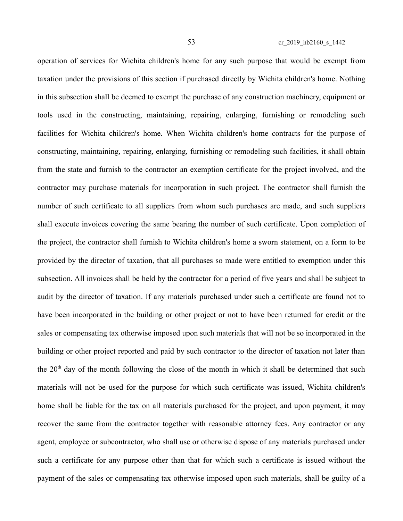operation of services for Wichita children's home for any such purpose that would be exempt from taxation under the provisions of this section if purchased directly by Wichita children's home. Nothing in this subsection shall be deemed to exempt the purchase of any construction machinery, equipment or tools used in the constructing, maintaining, repairing, enlarging, furnishing or remodeling such facilities for Wichita children's home. When Wichita children's home contracts for the purpose of constructing, maintaining, repairing, enlarging, furnishing or remodeling such facilities, it shall obtain from the state and furnish to the contractor an exemption certificate for the project involved, and the contractor may purchase materials for incorporation in such project. The contractor shall furnish the number of such certificate to all suppliers from whom such purchases are made, and such suppliers shall execute invoices covering the same bearing the number of such certificate. Upon completion of the project, the contractor shall furnish to Wichita children's home a sworn statement, on a form to be provided by the director of taxation, that all purchases so made were entitled to exemption under this subsection. All invoices shall be held by the contractor for a period of five years and shall be subject to audit by the director of taxation. If any materials purchased under such a certificate are found not to have been incorporated in the building or other project or not to have been returned for credit or the sales or compensating tax otherwise imposed upon such materials that will not be so incorporated in the building or other project reported and paid by such contractor to the director of taxation not later than the  $20<sup>th</sup>$  day of the month following the close of the month in which it shall be determined that such materials will not be used for the purpose for which such certificate was issued, Wichita children's home shall be liable for the tax on all materials purchased for the project, and upon payment, it may recover the same from the contractor together with reasonable attorney fees. Any contractor or any agent, employee or subcontractor, who shall use or otherwise dispose of any materials purchased under such a certificate for any purpose other than that for which such a certificate is issued without the payment of the sales or compensating tax otherwise imposed upon such materials, shall be guilty of a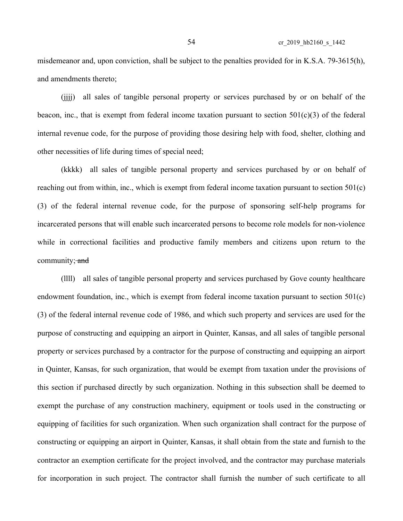misdemeanor and, upon conviction, shall be subject to the penalties provided for in K.S.A. 79-3615(h), and amendments thereto;

(jjjj) all sales of tangible personal property or services purchased by or on behalf of the beacon, inc., that is exempt from federal income taxation pursuant to section  $501(c)(3)$  of the federal internal revenue code, for the purpose of providing those desiring help with food, shelter, clothing and other necessities of life during times of special need;

(kkkk) all sales of tangible personal property and services purchased by or on behalf of reaching out from within, inc., which is exempt from federal income taxation pursuant to section 501(c) (3) of the federal internal revenue code, for the purpose of sponsoring self-help programs for incarcerated persons that will enable such incarcerated persons to become role models for non-violence while in correctional facilities and productive family members and citizens upon return to the community; and

(llll) all sales of tangible personal property and services purchased by Gove county healthcare endowment foundation, inc., which is exempt from federal income taxation pursuant to section 501(c) (3) of the federal internal revenue code of 1986, and which such property and services are used for the purpose of constructing and equipping an airport in Quinter, Kansas, and all sales of tangible personal property or services purchased by a contractor for the purpose of constructing and equipping an airport in Quinter, Kansas, for such organization, that would be exempt from taxation under the provisions of this section if purchased directly by such organization. Nothing in this subsection shall be deemed to exempt the purchase of any construction machinery, equipment or tools used in the constructing or equipping of facilities for such organization. When such organization shall contract for the purpose of constructing or equipping an airport in Quinter, Kansas, it shall obtain from the state and furnish to the contractor an exemption certificate for the project involved, and the contractor may purchase materials for incorporation in such project. The contractor shall furnish the number of such certificate to all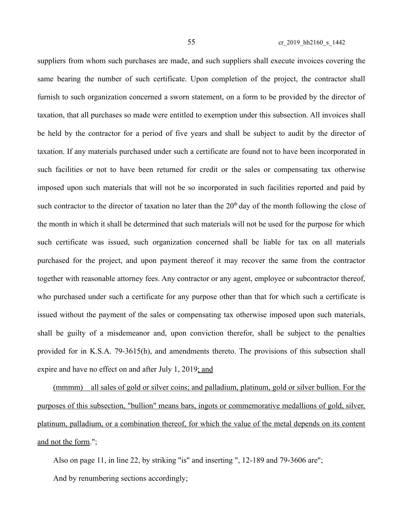suppliers from whom such purchases are made, and such suppliers shall execute invoices covering the same bearing the number of such certificate. Upon completion of the project, the contractor shall furnish to such organization concerned a sworn statement, on a form to be provided by the director of taxation, that all purchases so made were entitled to exemption under this subsection. All invoices shall be held by the contractor for a period of five years and shall be subject to audit by the director of taxation. If any materials purchased under such a certificate are found not to have been incorporated in such facilities or not to have been returned for credit or the sales or compensating tax otherwise imposed upon such materials that will not be so incorporated in such facilities reported and paid by such contractor to the director of taxation no later than the  $20<sup>th</sup>$  day of the month following the close of the month in which it shall be determined that such materials will not be used for the purpose for which such certificate was issued, such organization concerned shall be liable for tax on all materials purchased for the project, and upon payment thereof it may recover the same from the contractor together with reasonable attorney fees. Any contractor or any agent, employee or subcontractor thereof, who purchased under such a certificate for any purpose other than that for which such a certificate is issued without the payment of the sales or compensating tax otherwise imposed upon such materials, shall be guilty of a misdemeanor and, upon conviction therefor, shall be subject to the penalties provided for in K.S.A. 79-3615(h), and amendments thereto. The provisions of this subsection shall expire and have no effect on and after July 1, 2019; and

(mmmm) all sales of gold or silver coins; and palladium, platinum, gold or silver bullion. For the purposes of this subsection, "bullion" means bars, ingots or commemorative medallions of gold, silver, platinum, palladium, or a combination thereof, for which the value of the metal depends on its content and not the form.";

Also on page 11, in line 22, by striking "is" and inserting ", 12-189 and 79-3606 are";

And by renumbering sections accordingly;